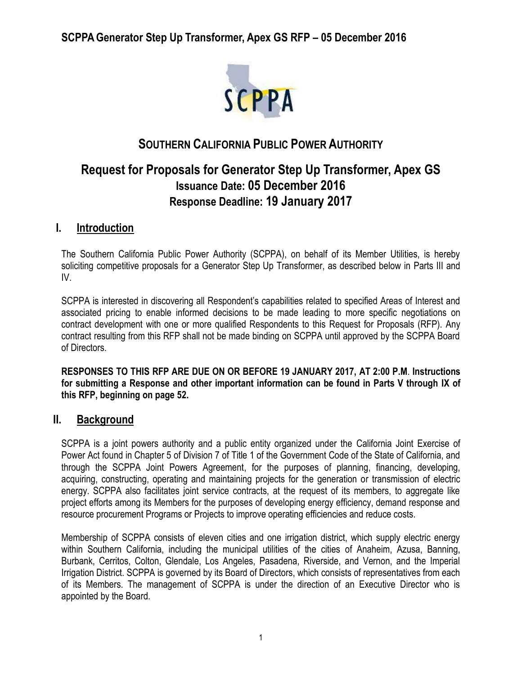

# **SOUTHERN CALIFORNIA PUBLIC POWER AUTHORITY**

# **Request for Proposals for Generator Step Up Transformer, Apex GS Issuance Date: 05 December 2016 Response Deadline: 19 January 2017**

## **I. Introduction**

The Southern California Public Power Authority (SCPPA), on behalf of its Member Utilities, is hereby soliciting competitive proposals for a Generator Step Up Transformer, as described below in Parts III and IV.

SCPPA is interested in discovering all Respondent's capabilities related to specified Areas of Interest and associated pricing to enable informed decisions to be made leading to more specific negotiations on contract development with one or more qualified Respondents to this Request for Proposals (RFP). Any contract resulting from this RFP shall not be made binding on SCPPA until approved by the SCPPA Board of Directors.

**RESPONSES TO THIS RFP ARE DUE ON OR BEFORE 19 JANUARY 2017, AT 2:00 P.M**. **Instructions for submitting a Response and other important information can be found in Parts V through IX of this RFP, beginning on page 52.** 

## **II. Background**

SCPPA is a joint powers authority and a public entity organized under the California Joint Exercise of Power Act found in Chapter 5 of Division 7 of Title 1 of the Government Code of the State of California, and through the SCPPA Joint Powers Agreement, for the purposes of planning, financing, developing, acquiring, constructing, operating and maintaining projects for the generation or transmission of electric energy. SCPPA also facilitates joint service contracts, at the request of its members, to aggregate like project efforts among its Members for the purposes of developing energy efficiency, demand response and resource procurement Programs or Projects to improve operating efficiencies and reduce costs.

Membership of SCPPA consists of eleven cities and one irrigation district, which supply electric energy within Southern California, including the municipal utilities of the cities of Anaheim, Azusa, Banning, Burbank, Cerritos, Colton, Glendale, Los Angeles, Pasadena, Riverside, and Vernon, and the Imperial Irrigation District. SCPPA is governed by its Board of Directors, which consists of representatives from each of its Members. The management of SCPPA is under the direction of an Executive Director who is appointed by the Board.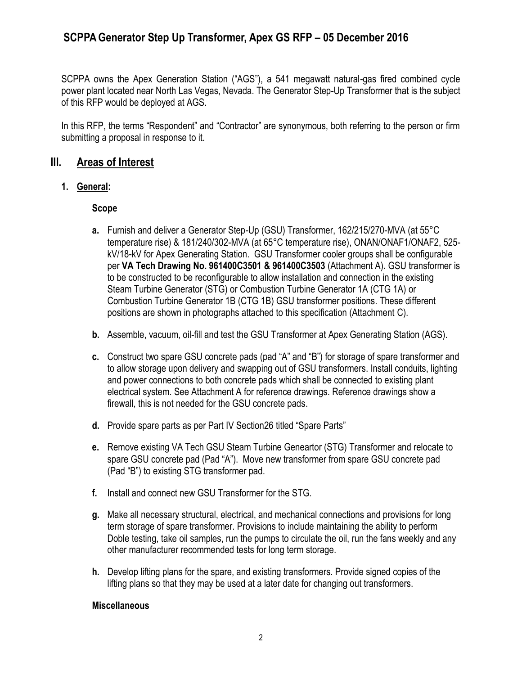SCPPA owns the Apex Generation Station ("AGS"), a 541 megawatt natural-gas fired combined cycle power plant located near North Las Vegas, Nevada. The Generator Step-Up Transformer that is the subject of this RFP would be deployed at AGS.

In this RFP, the terms "Respondent" and "Contractor" are synonymous, both referring to the person or firm submitting a proposal in response to it.

### **III. Areas of Interest**

### **1. General:**

### **Scope**

- **a.** Furnish and deliver a Generator Step-Up (GSU) Transformer, 162/215/270-MVA (at 55°C temperature rise) & 181/240/302-MVA (at 65°C temperature rise), ONAN/ONAF1/ONAF2, 525 kV/18-kV for Apex Generating Station. GSU Transformer cooler groups shall be configurable per **VA Tech Drawing No. 961400C3501 & 961400C3503** (Attachment A)**.** GSU transformer is to be constructed to be reconfigurable to allow installation and connection in the existing Steam Turbine Generator (STG) or Combustion Turbine Generator 1A (CTG 1A) or Combustion Turbine Generator 1B (CTG 1B) GSU transformer positions. These different positions are shown in photographs attached to this specification (Attachment C).
- **b.** Assemble, vacuum, oil-fill and test the GSU Transformer at Apex Generating Station (AGS).
- **c.** Construct two spare GSU concrete pads (pad "A" and "B") for storage of spare transformer and to allow storage upon delivery and swapping out of GSU transformers. Install conduits, lighting and power connections to both concrete pads which shall be connected to existing plant electrical system. See Attachment A for reference drawings. Reference drawings show a firewall, this is not needed for the GSU concrete pads.
- **d.** Provide spare parts as per Part IV Section26 titled "Spare Parts"
- **e.** Remove existing VA Tech GSU Steam Turbine Geneartor (STG) Transformer and relocate to spare GSU concrete pad (Pad "A"). Move new transformer from spare GSU concrete pad (Pad "B") to existing STG transformer pad.
- **f.** Install and connect new GSU Transformer for the STG.
- **g.** Make all necessary structural, electrical, and mechanical connections and provisions for long term storage of spare transformer. Provisions to include maintaining the ability to perform Doble testing, take oil samples, run the pumps to circulate the oil, run the fans weekly and any other manufacturer recommended tests for long term storage.
- **h.** Develop lifting plans for the spare, and existing transformers. Provide signed copies of the lifting plans so that they may be used at a later date for changing out transformers.

#### **Miscellaneous**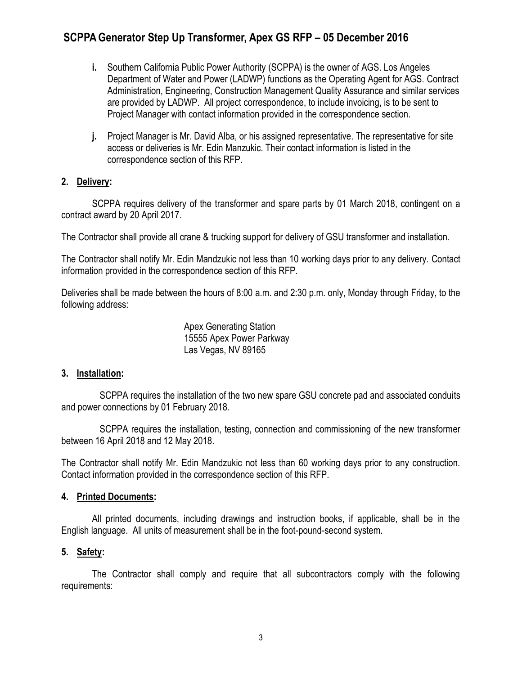- **i.** Southern California Public Power Authority (SCPPA) is the owner of AGS. Los Angeles Department of Water and Power (LADWP) functions as the Operating Agent for AGS. Contract Administration, Engineering, Construction Management Quality Assurance and similar services are provided by LADWP. All project correspondence, to include invoicing, is to be sent to Project Manager with contact information provided in the correspondence section.
- **j.** Project Manager is Mr. David Alba, or his assigned representative. The representative for site access or deliveries is Mr. Edin Manzukic. Their contact information is listed in the correspondence section of this RFP.

#### **2. Delivery:**

SCPPA requires delivery of the transformer and spare parts by 01 March 2018, contingent on a contract award by 20 April 2017.

The Contractor shall provide all crane & trucking support for delivery of GSU transformer and installation.

The Contractor shall notify Mr. Edin Mandzukic not less than 10 working days prior to any delivery. Contact information provided in the correspondence section of this RFP.

Deliveries shall be made between the hours of 8:00 a.m. and 2:30 p.m. only, Monday through Friday, to the following address:

> Apex Generating Station 15555 Apex Power Parkway Las Vegas, NV 89165

### **3. Installation:**

SCPPA requires the installation of the two new spare GSU concrete pad and associated conduits and power connections by 01 February 2018.

SCPPA requires the installation, testing, connection and commissioning of the new transformer between 16 April 2018 and 12 May 2018.

The Contractor shall notify Mr. Edin Mandzukic not less than 60 working days prior to any construction. Contact information provided in the correspondence section of this RFP.

#### **4. Printed Documents:**

All printed documents, including drawings and instruction books, if applicable, shall be in the English language. All units of measurement shall be in the foot-pound-second system.

### **5. Safety:**

The Contractor shall comply and require that all subcontractors comply with the following requirements: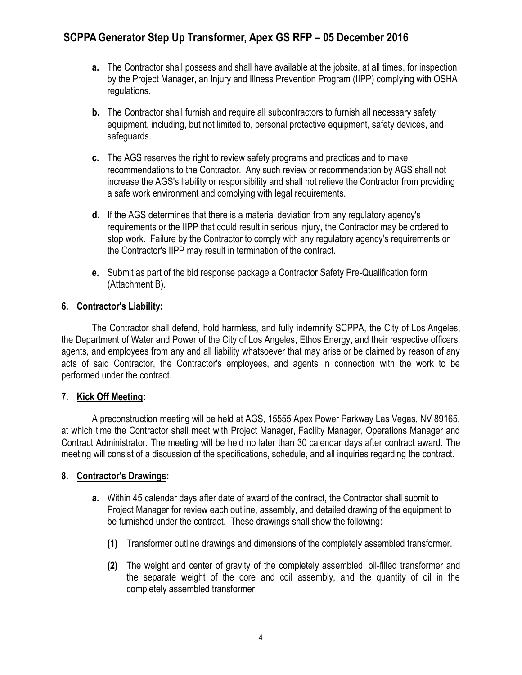- **a.** The Contractor shall possess and shall have available at the jobsite, at all times, for inspection by the Project Manager, an Injury and Illness Prevention Program (IIPP) complying with OSHA regulations.
- **b.** The Contractor shall furnish and require all subcontractors to furnish all necessary safety equipment, including, but not limited to, personal protective equipment, safety devices, and safeguards.
- **c.** The AGS reserves the right to review safety programs and practices and to make recommendations to the Contractor. Any such review or recommendation by AGS shall not increase the AGS's liability or responsibility and shall not relieve the Contractor from providing a safe work environment and complying with legal requirements.
- **d.** If the AGS determines that there is a material deviation from any regulatory agency's requirements or the IIPP that could result in serious injury, the Contractor may be ordered to stop work. Failure by the Contractor to comply with any regulatory agency's requirements or the Contractor's IIPP may result in termination of the contract.
- **e.** Submit as part of the bid response package a Contractor Safety Pre-Qualification form (Attachment B).

### **6. Contractor's Liability:**

The Contractor shall defend, hold harmless, and fully indemnify SCPPA, the City of Los Angeles, the Department of Water and Power of the City of Los Angeles, Ethos Energy, and their respective officers, agents, and employees from any and all liability whatsoever that may arise or be claimed by reason of any acts of said Contractor, the Contractor's employees, and agents in connection with the work to be performed under the contract.

### **7. Kick Off Meeting:**

A preconstruction meeting will be held at AGS, 15555 Apex Power Parkway Las Vegas, NV 89165, at which time the Contractor shall meet with Project Manager, Facility Manager, Operations Manager and Contract Administrator. The meeting will be held no later than 30 calendar days after contract award. The meeting will consist of a discussion of the specifications, schedule, and all inquiries regarding the contract.

### **8. Contractor's Drawings:**

- **a.** Within 45 calendar days after date of award of the contract, the Contractor shall submit to Project Manager for review each outline, assembly, and detailed drawing of the equipment to be furnished under the contract. These drawings shall show the following:
	- **(1)** Transformer outline drawings and dimensions of the completely assembled transformer.
	- **(2)** The weight and center of gravity of the completely assembled, oil-filled transformer and the separate weight of the core and coil assembly, and the quantity of oil in the completely assembled transformer.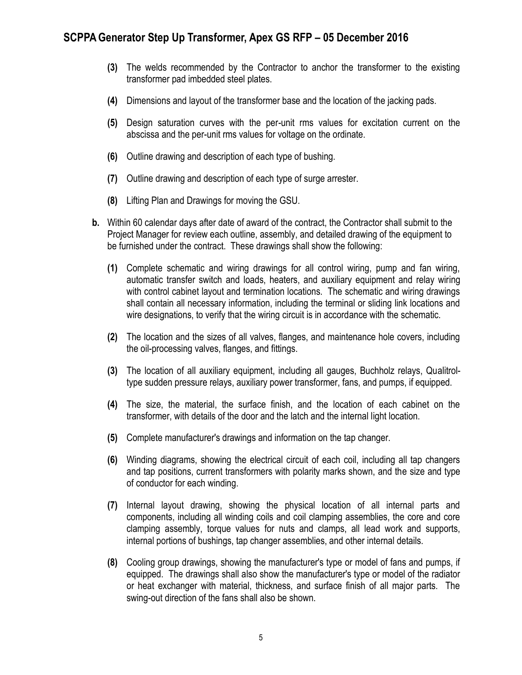- **(3)** The welds recommended by the Contractor to anchor the transformer to the existing transformer pad imbedded steel plates.
- **(4)** Dimensions and layout of the transformer base and the location of the jacking pads.
- **(5)** Design saturation curves with the per-unit rms values for excitation current on the abscissa and the per-unit rms values for voltage on the ordinate.
- **(6)** Outline drawing and description of each type of bushing.
- **(7)** Outline drawing and description of each type of surge arrester.
- **(8)** Lifting Plan and Drawings for moving the GSU.
- **b.** Within 60 calendar days after date of award of the contract, the Contractor shall submit to the Project Manager for review each outline, assembly, and detailed drawing of the equipment to be furnished under the contract. These drawings shall show the following:
	- **(1)** Complete schematic and wiring drawings for all control wiring, pump and fan wiring, automatic transfer switch and loads, heaters, and auxiliary equipment and relay wiring with control cabinet layout and termination locations. The schematic and wiring drawings shall contain all necessary information, including the terminal or sliding link locations and wire designations, to verify that the wiring circuit is in accordance with the schematic.
	- **(2)** The location and the sizes of all valves, flanges, and maintenance hole covers, including the oil-processing valves, flanges, and fittings.
	- **(3)** The location of all auxiliary equipment, including all gauges, Buchholz relays, Qualitroltype sudden pressure relays, auxiliary power transformer, fans, and pumps, if equipped.
	- **(4)** The size, the material, the surface finish, and the location of each cabinet on the transformer, with details of the door and the latch and the internal light location.
	- **(5)** Complete manufacturer's drawings and information on the tap changer.
	- **(6)** Winding diagrams, showing the electrical circuit of each coil, including all tap changers and tap positions, current transformers with polarity marks shown, and the size and type of conductor for each winding.
	- **(7)** Internal layout drawing, showing the physical location of all internal parts and components, including all winding coils and coil clamping assemblies, the core and core clamping assembly, torque values for nuts and clamps, all lead work and supports, internal portions of bushings, tap changer assemblies, and other internal details.
	- **(8)** Cooling group drawings, showing the manufacturer's type or model of fans and pumps, if equipped. The drawings shall also show the manufacturer's type or model of the radiator or heat exchanger with material, thickness, and surface finish of all major parts. The swing-out direction of the fans shall also be shown.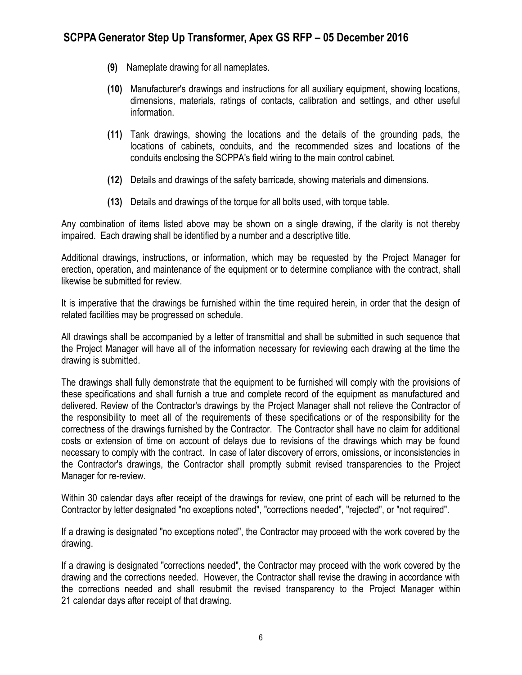- **(9)** Nameplate drawing for all nameplates.
- **(10)** Manufacturer's drawings and instructions for all auxiliary equipment, showing locations, dimensions, materials, ratings of contacts, calibration and settings, and other useful information.
- **(11)** Tank drawings, showing the locations and the details of the grounding pads, the locations of cabinets, conduits, and the recommended sizes and locations of the conduits enclosing the SCPPA's field wiring to the main control cabinet.
- **(12)** Details and drawings of the safety barricade, showing materials and dimensions.
- **(13)** Details and drawings of the torque for all bolts used, with torque table.

Any combination of items listed above may be shown on a single drawing, if the clarity is not thereby impaired. Each drawing shall be identified by a number and a descriptive title.

Additional drawings, instructions, or information, which may be requested by the Project Manager for erection, operation, and maintenance of the equipment or to determine compliance with the contract, shall likewise be submitted for review.

It is imperative that the drawings be furnished within the time required herein, in order that the design of related facilities may be progressed on schedule.

All drawings shall be accompanied by a letter of transmittal and shall be submitted in such sequence that the Project Manager will have all of the information necessary for reviewing each drawing at the time the drawing is submitted.

The drawings shall fully demonstrate that the equipment to be furnished will comply with the provisions of these specifications and shall furnish a true and complete record of the equipment as manufactured and delivered. Review of the Contractor's drawings by the Project Manager shall not relieve the Contractor of the responsibility to meet all of the requirements of these specifications or of the responsibility for the correctness of the drawings furnished by the Contractor. The Contractor shall have no claim for additional costs or extension of time on account of delays due to revisions of the drawings which may be found necessary to comply with the contract. In case of later discovery of errors, omissions, or inconsistencies in the Contractor's drawings, the Contractor shall promptly submit revised transparencies to the Project Manager for re-review.

Within 30 calendar days after receipt of the drawings for review, one print of each will be returned to the Contractor by letter designated "no exceptions noted", "corrections needed", "rejected", or "not required".

If a drawing is designated "no exceptions noted", the Contractor may proceed with the work covered by the drawing.

If a drawing is designated "corrections needed", the Contractor may proceed with the work covered by the drawing and the corrections needed. However, the Contractor shall revise the drawing in accordance with the corrections needed and shall resubmit the revised transparency to the Project Manager within 21 calendar days after receipt of that drawing.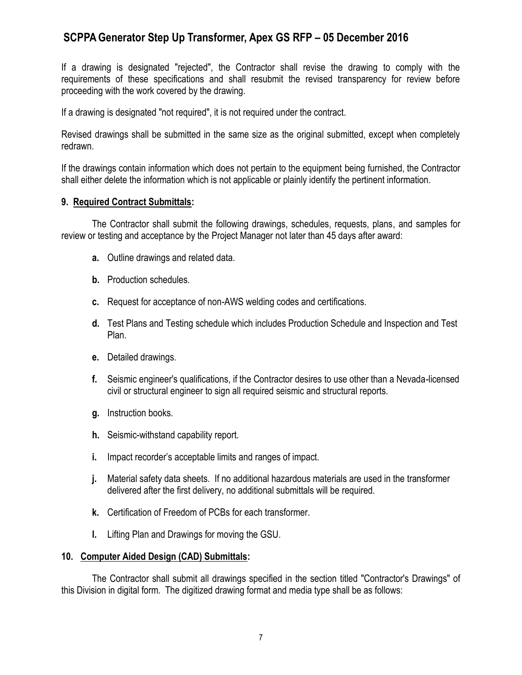If a drawing is designated "rejected", the Contractor shall revise the drawing to comply with the requirements of these specifications and shall resubmit the revised transparency for review before proceeding with the work covered by the drawing.

If a drawing is designated "not required", it is not required under the contract.

Revised drawings shall be submitted in the same size as the original submitted, except when completely redrawn.

If the drawings contain information which does not pertain to the equipment being furnished, the Contractor shall either delete the information which is not applicable or plainly identify the pertinent information.

#### **9. Required Contract Submittals:**

The Contractor shall submit the following drawings, schedules, requests, plans, and samples for review or testing and acceptance by the Project Manager not later than 45 days after award:

- **a.** Outline drawings and related data.
- **b.** Production schedules.
- **c.** Request for acceptance of non-AWS welding codes and certifications.
- **d.** Test Plans and Testing schedule which includes Production Schedule and Inspection and Test Plan.
- **e.** Detailed drawings.
- **f.** Seismic engineer's qualifications, if the Contractor desires to use other than a Nevada-licensed civil or structural engineer to sign all required seismic and structural reports.
- **g.** Instruction books.
- **h.** Seismic-withstand capability report.
- **i.** Impact recorder's acceptable limits and ranges of impact.
- **j.** Material safety data sheets. If no additional hazardous materials are used in the transformer delivered after the first delivery, no additional submittals will be required.
- **k.** Certification of Freedom of PCBs for each transformer.
- **l.** Lifting Plan and Drawings for moving the GSU.

#### **10. Computer Aided Design (CAD) Submittals:**

The Contractor shall submit all drawings specified in the section titled "Contractor's Drawings" of this Division in digital form. The digitized drawing format and media type shall be as follows: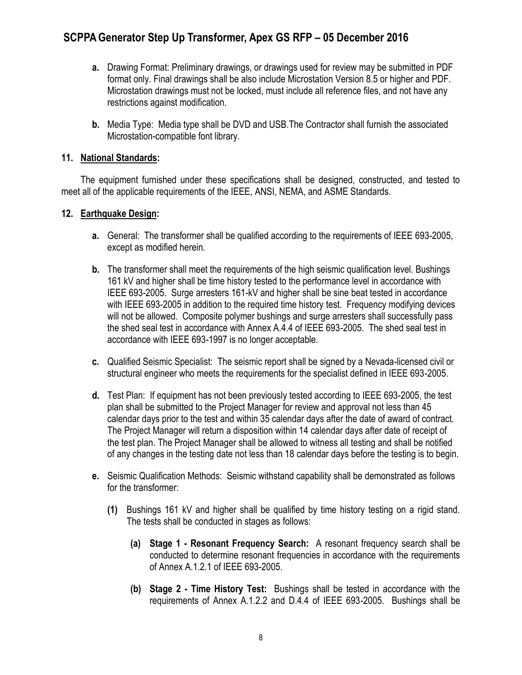- **a.** Drawing Format: Preliminary drawings, or drawings used for review may be submitted in PDF format only. Final drawings shall be also include Microstation Version 8.5 or higher and PDF. Microstation drawings must not be locked, must include all reference files, and not have any restrictions against modification.
- **b.** Media Type: Media type shall be DVD and USB.The Contractor shall furnish the associated Microstation-compatible font library.

### **11. National Standards:**

The equipment furnished under these specifications shall be designed, constructed, and tested to meet all of the applicable requirements of the IEEE, ANSI, NEMA, and ASME Standards.

### **12. Earthquake Design:**

- **a.** General: The transformer shall be qualified according to the requirements of IEEE 693-2005, except as modified herein.
- **b.** The transformer shall meet the requirements of the high seismic qualification level. Bushings 161 kV and higher shall be time history tested to the performance level in accordance with IEEE 693-2005. Surge arresters 161-kV and higher shall be sine beat tested in accordance with IEEE 693-2005 in addition to the required time history test. Frequency modifying devices will not be allowed. Composite polymer bushings and surge arresters shall successfully pass the shed seal test in accordance with Annex A.4.4 of IEEE 693-2005. The shed seal test in accordance with IEEE 693-1997 is no longer acceptable.
- **c.** Qualified Seismic Specialist: The seismic report shall be signed by a Nevada-licensed civil or structural engineer who meets the requirements for the specialist defined in IEEE 693-2005.
- **d.** Test Plan: If equipment has not been previously tested according to IEEE 693-2005, the test plan shall be submitted to the Project Manager for review and approval not less than 45 calendar days prior to the test and within 35 calendar days after the date of award of contract. The Project Manager will return a disposition within 14 calendar days after date of receipt of the test plan. The Project Manager shall be allowed to witness all testing and shall be notified of any changes in the testing date not less than 18 calendar days before the testing is to begin.
- **e.** Seismic Qualification Methods: Seismic withstand capability shall be demonstrated as follows for the transformer:
	- **(1)** Bushings 161 kV and higher shall be qualified by time history testing on a rigid stand. The tests shall be conducted in stages as follows:
		- **(a) Stage 1 - Resonant Frequency Search:** A resonant frequency search shall be conducted to determine resonant frequencies in accordance with the requirements of Annex A.1.2.1 of IEEE 693-2005.
		- **(b) Stage 2 - Time History Test:** Bushings shall be tested in accordance with the requirements of Annex A.1.2.2 and D.4.4 of IEEE 693-2005. Bushings shall be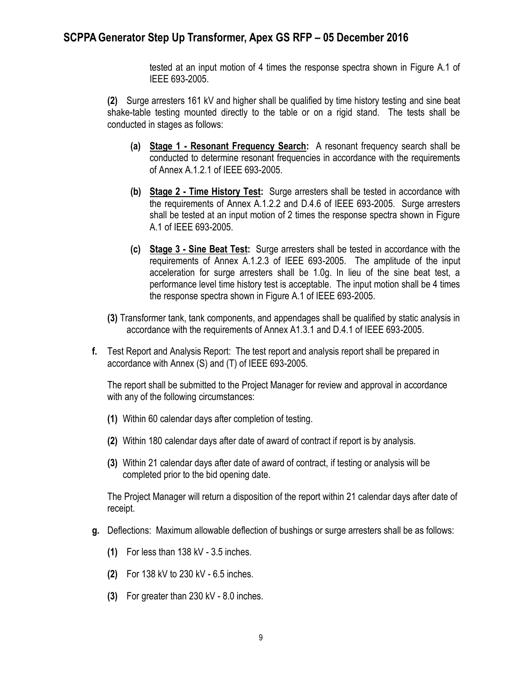tested at an input motion of 4 times the response spectra shown in Figure A.1 of IEEE 693-2005.

**(2)** Surge arresters 161 kV and higher shall be qualified by time history testing and sine beat shake-table testing mounted directly to the table or on a rigid stand. The tests shall be conducted in stages as follows:

- **(a) Stage 1 - Resonant Frequency Search:** A resonant frequency search shall be conducted to determine resonant frequencies in accordance with the requirements of Annex A.1.2.1 of IEEE 693-2005.
- **(b) Stage 2 - Time History Test:** Surge arresters shall be tested in accordance with the requirements of Annex A.1.2.2 and D.4.6 of IEEE 693-2005. Surge arresters shall be tested at an input motion of 2 times the response spectra shown in Figure A.1 of IEEE 693-2005.
- **(c) Stage 3 - Sine Beat Test:** Surge arresters shall be tested in accordance with the requirements of Annex A.1.2.3 of IEEE 693-2005. The amplitude of the input acceleration for surge arresters shall be 1.0g. In lieu of the sine beat test, a performance level time history test is acceptable. The input motion shall be 4 times the response spectra shown in Figure A.1 of IEEE 693-2005.
- **(3)** Transformer tank, tank components, and appendages shall be qualified by static analysis in accordance with the requirements of Annex A1.3.1 and D.4.1 of IEEE 693-2005.
- **f.** Test Report and Analysis Report: The test report and analysis report shall be prepared in accordance with Annex (S) and (T) of IEEE 693-2005.

The report shall be submitted to the Project Manager for review and approval in accordance with any of the following circumstances:

- **(1)** Within 60 calendar days after completion of testing.
- **(2)** Within 180 calendar days after date of award of contract if report is by analysis.
- **(3)** Within 21 calendar days after date of award of contract, if testing or analysis will be completed prior to the bid opening date.

The Project Manager will return a disposition of the report within 21 calendar days after date of receipt.

- **g.** Deflections: Maximum allowable deflection of bushings or surge arresters shall be as follows:
	- **(1)** For less than 138 kV 3.5 inches.
	- **(2)** For 138 kV to 230 kV 6.5 inches.
	- **(3)** For greater than 230 kV 8.0 inches.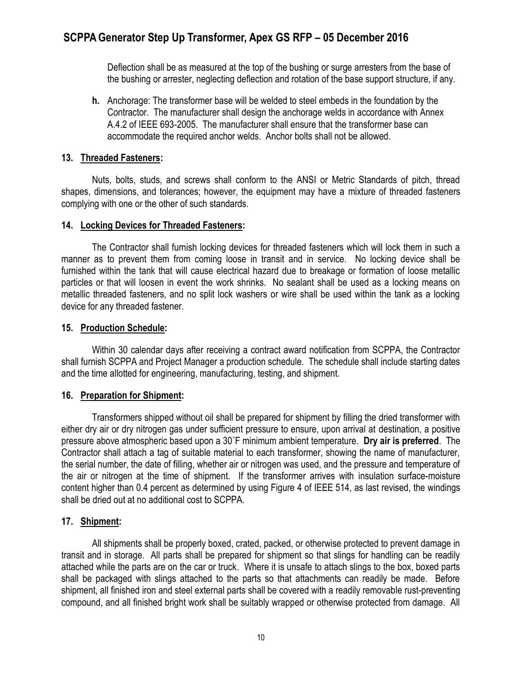Deflection shall be as measured at the top of the bushing or surge arresters from the base of the bushing or arrester, neglecting deflection and rotation of the base support structure, if any.

**h.** Anchorage: The transformer base will be welded to steel embeds in the foundation by the Contractor. The manufacturer shall design the anchorage welds in accordance with Annex A.4.2 of IEEE 693-2005. The manufacturer shall ensure that the transformer base can accommodate the required anchor welds. Anchor bolts shall not be allowed.

#### **13. Threaded Fasteners:**

Nuts, bolts, studs, and screws shall conform to the ANSI or Metric Standards of pitch, thread shapes, dimensions, and tolerances; however, the equipment may have a mixture of threaded fasteners complying with one or the other of such standards.

#### **14. Locking Devices for Threaded Fasteners:**

The Contractor shall furnish locking devices for threaded fasteners which will lock them in such a manner as to prevent them from coming loose in transit and in service. No locking device shall be furnished within the tank that will cause electrical hazard due to breakage or formation of loose metallic particles or that will loosen in event the work shrinks. No sealant shall be used as a locking means on metallic threaded fasteners, and no split lock washers or wire shall be used within the tank as a locking device for any threaded fastener.

#### **15. Production Schedule:**

Within 30 calendar days after receiving a contract award notification from SCPPA, the Contractor shall furnish SCPPA and Project Manager a production schedule. The schedule shall include starting dates and the time allotted for engineering, manufacturing, testing, and shipment.

### **16. Preparation for Shipment:**

Transformers shipped without oil shall be prepared for shipment by filling the dried transformer with either dry air or dry nitrogen gas under sufficient pressure to ensure, upon arrival at destination, a positive pressure above atmospheric based upon a 30˚F minimum ambient temperature. **Dry air is preferred**. The Contractor shall attach a tag of suitable material to each transformer, showing the name of manufacturer, the serial number, the date of filling, whether air or nitrogen was used, and the pressure and temperature of the air or nitrogen at the time of shipment. If the transformer arrives with insulation surface-moisture content higher than 0.4 percent as determined by using Figure 4 of IEEE 514, as last revised, the windings shall be dried out at no additional cost to SCPPA.

### **17. Shipment:**

All shipments shall be properly boxed, crated, packed, or otherwise protected to prevent damage in transit and in storage. All parts shall be prepared for shipment so that slings for handling can be readily attached while the parts are on the car or truck. Where it is unsafe to attach slings to the box, boxed parts shall be packaged with slings attached to the parts so that attachments can readily be made. Before shipment, all finished iron and steel external parts shall be covered with a readily removable rust-preventing compound, and all finished bright work shall be suitably wrapped or otherwise protected from damage. All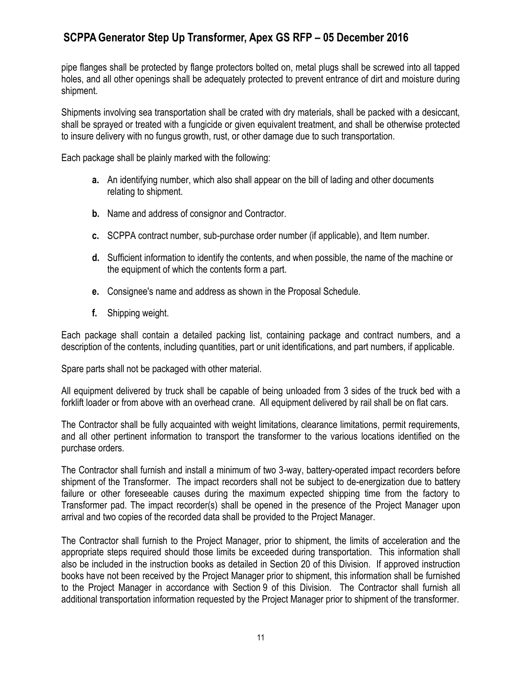pipe flanges shall be protected by flange protectors bolted on, metal plugs shall be screwed into all tapped holes, and all other openings shall be adequately protected to prevent entrance of dirt and moisture during shipment.

Shipments involving sea transportation shall be crated with dry materials, shall be packed with a desiccant, shall be sprayed or treated with a fungicide or given equivalent treatment, and shall be otherwise protected to insure delivery with no fungus growth, rust, or other damage due to such transportation.

Each package shall be plainly marked with the following:

- **a.** An identifying number, which also shall appear on the bill of lading and other documents relating to shipment.
- **b.** Name and address of consignor and Contractor.
- **c.** SCPPA contract number, sub-purchase order number (if applicable), and Item number.
- **d.** Sufficient information to identify the contents, and when possible, the name of the machine or the equipment of which the contents form a part.
- **e.** Consignee's name and address as shown in the Proposal Schedule.
- **f.** Shipping weight.

Each package shall contain a detailed packing list, containing package and contract numbers, and a description of the contents, including quantities, part or unit identifications, and part numbers, if applicable.

Spare parts shall not be packaged with other material.

All equipment delivered by truck shall be capable of being unloaded from 3 sides of the truck bed with a forklift loader or from above with an overhead crane. All equipment delivered by rail shall be on flat cars.

The Contractor shall be fully acquainted with weight limitations, clearance limitations, permit requirements, and all other pertinent information to transport the transformer to the various locations identified on the purchase orders.

The Contractor shall furnish and install a minimum of two 3-way, battery-operated impact recorders before shipment of the Transformer. The impact recorders shall not be subject to de-energization due to battery failure or other foreseeable causes during the maximum expected shipping time from the factory to Transformer pad. The impact recorder(s) shall be opened in the presence of the Project Manager upon arrival and two copies of the recorded data shall be provided to the Project Manager.

The Contractor shall furnish to the Project Manager, prior to shipment, the limits of acceleration and the appropriate steps required should those limits be exceeded during transportation. This information shall also be included in the instruction books as detailed in Section 20 of this Division. If approved instruction books have not been received by the Project Manager prior to shipment, this information shall be furnished to the Project Manager in accordance with Section 9 of this Division. The Contractor shall furnish all additional transportation information requested by the Project Manager prior to shipment of the transformer.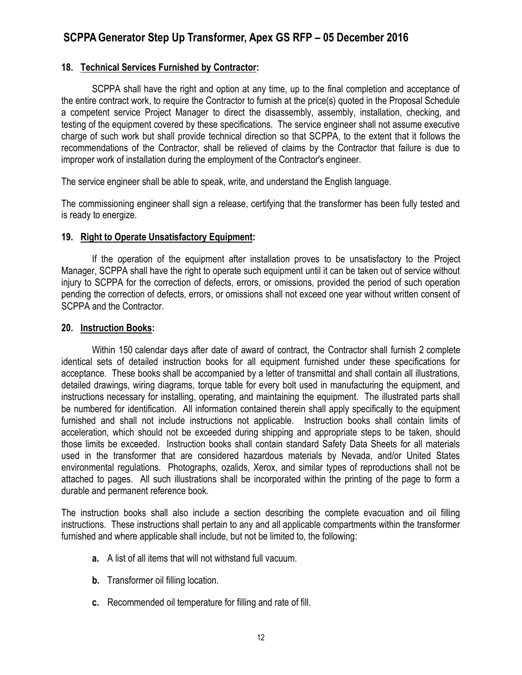#### **18. Technical Services Furnished by Contractor:**

SCPPA shall have the right and option at any time, up to the final completion and acceptance of the entire contract work, to require the Contractor to furnish at the price(s) quoted in the Proposal Schedule a competent service Project Manager to direct the disassembly, assembly, installation, checking, and testing of the equipment covered by these specifications. The service engineer shall not assume executive charge of such work but shall provide technical direction so that SCPPA, to the extent that it follows the recommendations of the Contractor, shall be relieved of claims by the Contractor that failure is due to improper work of installation during the employment of the Contractor's engineer.

The service engineer shall be able to speak, write, and understand the English language.

The commissioning engineer shall sign a release, certifying that the transformer has been fully tested and is ready to energize.

#### **19. Right to Operate Unsatisfactory Equipment:**

If the operation of the equipment after installation proves to be unsatisfactory to the Project Manager, SCPPA shall have the right to operate such equipment until it can be taken out of service without injury to SCPPA for the correction of defects, errors, or omissions, provided the period of such operation pending the correction of defects, errors, or omissions shall not exceed one year without written consent of SCPPA and the Contractor.

#### **20. Instruction Books:**

Within 150 calendar days after date of award of contract, the Contractor shall furnish 2 complete identical sets of detailed instruction books for all equipment furnished under these specifications for acceptance. These books shall be accompanied by a letter of transmittal and shall contain all illustrations, detailed drawings, wiring diagrams, torque table for every bolt used in manufacturing the equipment, and instructions necessary for installing, operating, and maintaining the equipment. The illustrated parts shall be numbered for identification. All information contained therein shall apply specifically to the equipment furnished and shall not include instructions not applicable. Instruction books shall contain limits of acceleration, which should not be exceeded during shipping and appropriate steps to be taken, should those limits be exceeded. Instruction books shall contain standard Safety Data Sheets for all materials used in the transformer that are considered hazardous materials by Nevada, and/or United States environmental regulations. Photographs, ozalids, Xerox, and similar types of reproductions shall not be attached to pages. All such illustrations shall be incorporated within the printing of the page to form a durable and permanent reference book.

The instruction books shall also include a section describing the complete evacuation and oil filling instructions. These instructions shall pertain to any and all applicable compartments within the transformer furnished and where applicable shall include, but not be limited to, the following:

- **a.** A list of all items that will not withstand full vacuum.
- **b.** Transformer oil filling location.
- **c.** Recommended oil temperature for filling and rate of fill.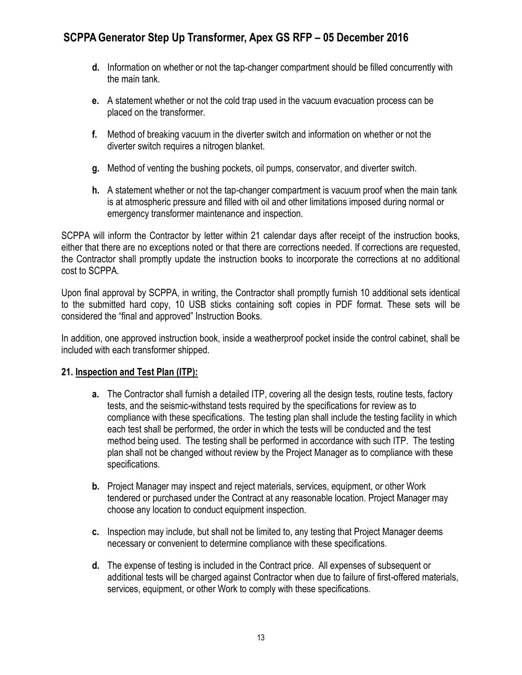- **d.** Information on whether or not the tap-changer compartment should be filled concurrently with the main tank.
- **e.** A statement whether or not the cold trap used in the vacuum evacuation process can be placed on the transformer.
- **f.** Method of breaking vacuum in the diverter switch and information on whether or not the diverter switch requires a nitrogen blanket.
- **g.** Method of venting the bushing pockets, oil pumps, conservator, and diverter switch.
- **h.** A statement whether or not the tap-changer compartment is vacuum proof when the main tank is at atmospheric pressure and filled with oil and other limitations imposed during normal or emergency transformer maintenance and inspection.

SCPPA will inform the Contractor by letter within 21 calendar days after receipt of the instruction books, either that there are no exceptions noted or that there are corrections needed. If corrections are requested, the Contractor shall promptly update the instruction books to incorporate the corrections at no additional cost to SCPPA.

Upon final approval by SCPPA, in writing, the Contractor shall promptly furnish 10 additional sets identical to the submitted hard copy, 10 USB sticks containing soft copies in PDF format. These sets will be considered the "final and approved" Instruction Books.

In addition, one approved instruction book, inside a weatherproof pocket inside the control cabinet, shall be included with each transformer shipped.

### **21. Inspection and Test Plan (ITP):**

- **a.** The Contractor shall furnish a detailed ITP, covering all the design tests, routine tests, factory tests, and the seismic-withstand tests required by the specifications for review as to compliance with these specifications. The testing plan shall include the testing facility in which each test shall be performed, the order in which the tests will be conducted and the test method being used. The testing shall be performed in accordance with such ITP. The testing plan shall not be changed without review by the Project Manager as to compliance with these specifications.
- **b.** Project Manager may inspect and reject materials, services, equipment, or other Work tendered or purchased under the Contract at any reasonable location. Project Manager may choose any location to conduct equipment inspection.
- **c.** Inspection may include, but shall not be limited to, any testing that Project Manager deems necessary or convenient to determine compliance with these specifications.
- **d.** The expense of testing is included in the Contract price. All expenses of subsequent or additional tests will be charged against Contractor when due to failure of first-offered materials, services, equipment, or other Work to comply with these specifications.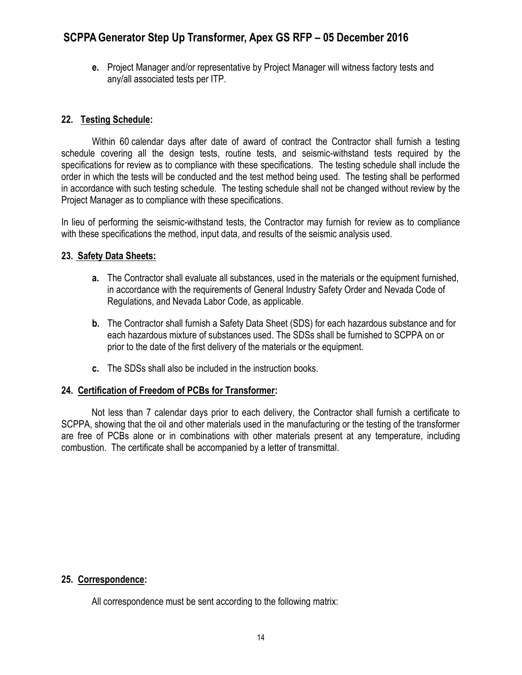**e.** Project Manager and/or representative by Project Manager will witness factory tests and any/all associated tests per ITP.

### **22. Testing Schedule:**

Within 60 calendar days after date of award of contract the Contractor shall furnish a testing schedule covering all the design tests, routine tests, and seismic-withstand tests required by the specifications for review as to compliance with these specifications. The testing schedule shall include the order in which the tests will be conducted and the test method being used. The testing shall be performed in accordance with such testing schedule. The testing schedule shall not be changed without review by the Project Manager as to compliance with these specifications.

In lieu of performing the seismic-withstand tests, the Contractor may furnish for review as to compliance with these specifications the method, input data, and results of the seismic analysis used.

### **23. Safety Data Sheets:**

- **a.** The Contractor shall evaluate all substances, used in the materials or the equipment furnished, in accordance with the requirements of General Industry Safety Order and Nevada Code of Regulations, and Nevada Labor Code, as applicable.
- **b.** The Contractor shall furnish a Safety Data Sheet (SDS) for each hazardous substance and for each hazardous mixture of substances used. The SDSs shall be furnished to SCPPA on or prior to the date of the first delivery of the materials or the equipment.
- **c.** The SDSs shall also be included in the instruction books.

### **24. Certification of Freedom of PCBs for Transformer:**

 Not less than 7 calendar days prior to each delivery, the Contractor shall furnish a certificate to SCPPA, showing that the oil and other materials used in the manufacturing or the testing of the transformer are free of PCBs alone or in combinations with other materials present at any temperature, including combustion. The certificate shall be accompanied by a letter of transmittal.

### **25. Correspondence:**

All correspondence must be sent according to the following matrix: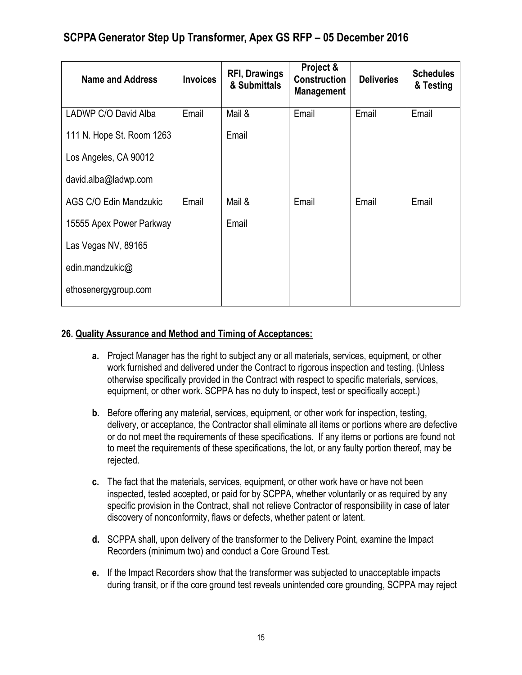| <b>Name and Address</b>   | <b>Invoices</b> | <b>RFI, Drawings</b><br>& Submittals | Project &<br><b>Construction</b><br><b>Management</b> | <b>Deliveries</b> | <b>Schedules</b><br>& Testing |
|---------------------------|-----------------|--------------------------------------|-------------------------------------------------------|-------------------|-------------------------------|
| LADWP C/O David Alba      | Email           | Mail &                               | Email                                                 | Email             | Email                         |
| 111 N. Hope St. Room 1263 |                 | Email                                |                                                       |                   |                               |
| Los Angeles, CA 90012     |                 |                                      |                                                       |                   |                               |
| david.alba@ladwp.com      |                 |                                      |                                                       |                   |                               |
| AGS C/O Edin Mandzukic    | Email           | Mail &                               | Email                                                 | Email             | Email                         |
| 15555 Apex Power Parkway  |                 | Email                                |                                                       |                   |                               |
| Las Vegas NV, 89165       |                 |                                      |                                                       |                   |                               |
| edin.mandzukic@           |                 |                                      |                                                       |                   |                               |
| ethosenergygroup.com      |                 |                                      |                                                       |                   |                               |

### **26. Quality Assurance and Method and Timing of Acceptances:**

- **a.** Project Manager has the right to subject any or all materials, services, equipment, or other work furnished and delivered under the Contract to rigorous inspection and testing. (Unless otherwise specifically provided in the Contract with respect to specific materials, services, equipment, or other work. SCPPA has no duty to inspect, test or specifically accept.)
- **b.** Before offering any material, services, equipment, or other work for inspection, testing, delivery, or acceptance, the Contractor shall eliminate all items or portions where are defective or do not meet the requirements of these specifications. If any items or portions are found not to meet the requirements of these specifications, the lot, or any faulty portion thereof, may be rejected.
- **c.** The fact that the materials, services, equipment, or other work have or have not been inspected, tested accepted, or paid for by SCPPA, whether voluntarily or as required by any specific provision in the Contract, shall not relieve Contractor of responsibility in case of later discovery of nonconformity, flaws or defects, whether patent or latent.
- **d.** SCPPA shall, upon delivery of the transformer to the Delivery Point, examine the Impact Recorders (minimum two) and conduct a Core Ground Test.
- **e.** If the Impact Recorders show that the transformer was subjected to unacceptable impacts during transit, or if the core ground test reveals unintended core grounding, SCPPA may reject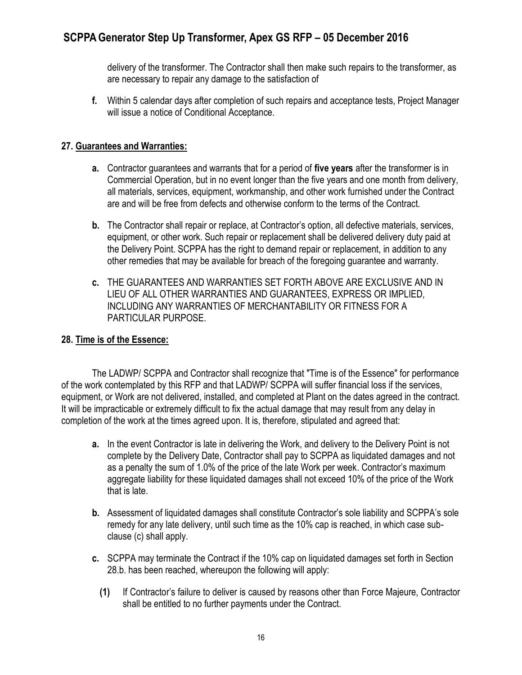delivery of the transformer. The Contractor shall then make such repairs to the transformer, as are necessary to repair any damage to the satisfaction of

**f.** Within 5 calendar days after completion of such repairs and acceptance tests, Project Manager will issue a notice of Conditional Acceptance.

### **27. Guarantees and Warranties:**

- **a.** Contractor guarantees and warrants that for a period of **five years** after the transformer is in Commercial Operation, but in no event longer than the five years and one month from delivery, all materials, services, equipment, workmanship, and other work furnished under the Contract are and will be free from defects and otherwise conform to the terms of the Contract.
- **b.** The Contractor shall repair or replace, at Contractor's option, all defective materials, services, equipment, or other work. Such repair or replacement shall be delivered delivery duty paid at the Delivery Point. SCPPA has the right to demand repair or replacement, in addition to any other remedies that may be available for breach of the foregoing guarantee and warranty.
- **c.** THE GUARANTEES AND WARRANTIES SET FORTH ABOVE ARE EXCLUSIVE AND IN LIEU OF ALL OTHER WARRANTIES AND GUARANTEES, EXPRESS OR IMPLIED, INCLUDING ANY WARRANTIES OF MERCHANTABILITY OR FITNESS FOR A PARTICULAR PURPOSE.

### **28. Time is of the Essence:**

The LADWP/ SCPPA and Contractor shall recognize that "Time is of the Essence" for performance of the work contemplated by this RFP and that LADWP/ SCPPA will suffer financial loss if the services, equipment, or Work are not delivered, installed, and completed at Plant on the dates agreed in the contract. It will be impracticable or extremely difficult to fix the actual damage that may result from any delay in completion of the work at the times agreed upon. It is, therefore, stipulated and agreed that:

- **a.** In the event Contractor is late in delivering the Work, and delivery to the Delivery Point is not complete by the Delivery Date, Contractor shall pay to SCPPA as liquidated damages and not as a penalty the sum of 1.0% of the price of the late Work per week. Contractor's maximum aggregate liability for these liquidated damages shall not exceed 10% of the price of the Work that is late.
- **b.** Assessment of liquidated damages shall constitute Contractor's sole liability and SCPPA's sole remedy for any late delivery, until such time as the 10% cap is reached, in which case subclause (c) shall apply.
- **c.** SCPPA may terminate the Contract if the 10% cap on liquidated damages set forth in Section 28.b. has been reached, whereupon the following will apply:
	- **(1)** If Contractor's failure to deliver is caused by reasons other than Force Majeure, Contractor shall be entitled to no further payments under the Contract.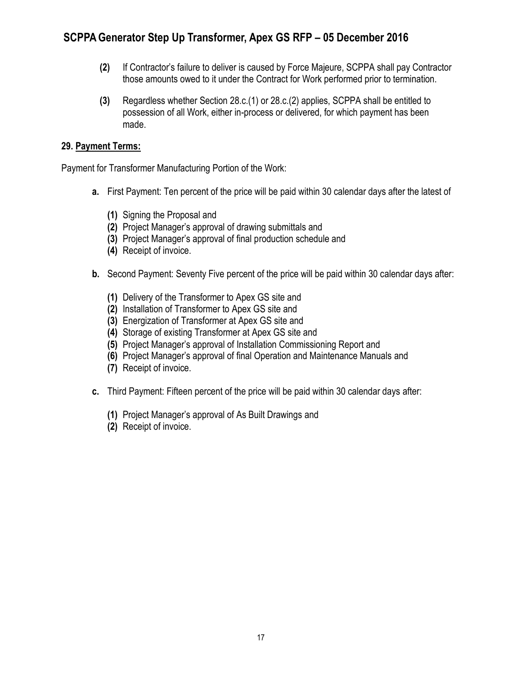- **(2)** If Contractor's failure to deliver is caused by Force Majeure, SCPPA shall pay Contractor those amounts owed to it under the Contract for Work performed prior to termination.
- **(3)** Regardless whether Section 28.c.(1) or 28.c.(2) applies, SCPPA shall be entitled to possession of all Work, either in-process or delivered, for which payment has been made.

### **29. Payment Terms:**

Payment for Transformer Manufacturing Portion of the Work:

- **a.** First Payment: Ten percent of the price will be paid within 30 calendar days after the latest of
	- **(1)** Signing the Proposal and
	- **(2)** Project Manager's approval of drawing submittals and
	- **(3)** Project Manager's approval of final production schedule and
	- **(4)** Receipt of invoice.
- **b.** Second Payment: Seventy Five percent of the price will be paid within 30 calendar days after:
	- **(1)** Delivery of the Transformer to Apex GS site and
	- **(2)** Installation of Transformer to Apex GS site and
	- **(3)** Energization of Transformer at Apex GS site and
	- **(4)** Storage of existing Transformer at Apex GS site and
	- **(5)** Project Manager's approval of Installation Commissioning Report and
	- **(6)** Project Manager's approval of final Operation and Maintenance Manuals and
	- **(7)** Receipt of invoice.
- **c.** Third Payment: Fifteen percent of the price will be paid within 30 calendar days after:
	- **(1)** Project Manager's approval of As Built Drawings and
	- **(2)** Receipt of invoice.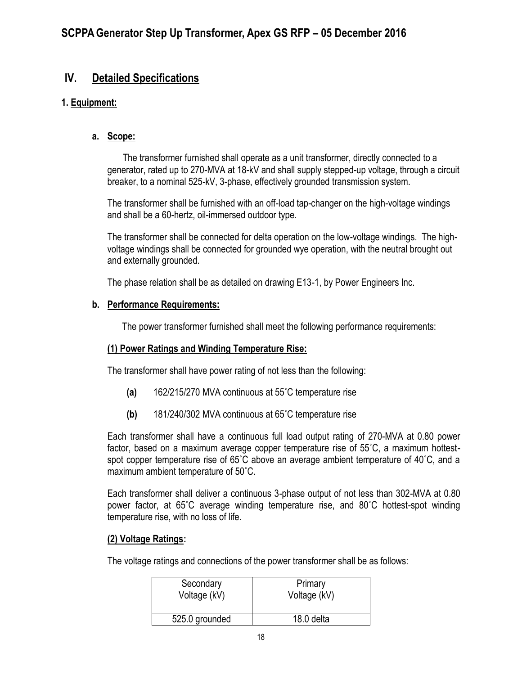## **IV. Detailed Specifications**

### **1. Equipment:**

### **a. Scope:**

The transformer furnished shall operate as a unit transformer, directly connected to a generator, rated up to 270-MVA at 18-kV and shall supply stepped-up voltage, through a circuit breaker, to a nominal 525-kV, 3-phase, effectively grounded transmission system.

The transformer shall be furnished with an off-load tap-changer on the high-voltage windings and shall be a 60-hertz, oil-immersed outdoor type.

The transformer shall be connected for delta operation on the low-voltage windings. The highvoltage windings shall be connected for grounded wye operation, with the neutral brought out and externally grounded.

The phase relation shall be as detailed on drawing E13-1, by Power Engineers Inc.

### **b. Performance Requirements:**

The power transformer furnished shall meet the following performance requirements:

### **(1) Power Ratings and Winding Temperature Rise:**

The transformer shall have power rating of not less than the following:

- **(a)** 162/215/270 MVA continuous at 55˚C temperature rise
- **(b)** 181/240/302 MVA continuous at 65˚C temperature rise

Each transformer shall have a continuous full load output rating of 270-MVA at 0.80 power factor, based on a maximum average copper temperature rise of 55˚C, a maximum hottestspot copper temperature rise of 65˚C above an average ambient temperature of 40˚C, and a maximum ambient temperature of 50˚C.

Each transformer shall deliver a continuous 3-phase output of not less than 302-MVA at 0.80 power factor, at 65˚C average winding temperature rise, and 80˚C hottest-spot winding temperature rise, with no loss of life.

### **(2) Voltage Ratings:**

The voltage ratings and connections of the power transformer shall be as follows:

| Secondary      | Primary      |
|----------------|--------------|
| Voltage (kV)   | Voltage (kV) |
| 525.0 grounded | 18.0 delta   |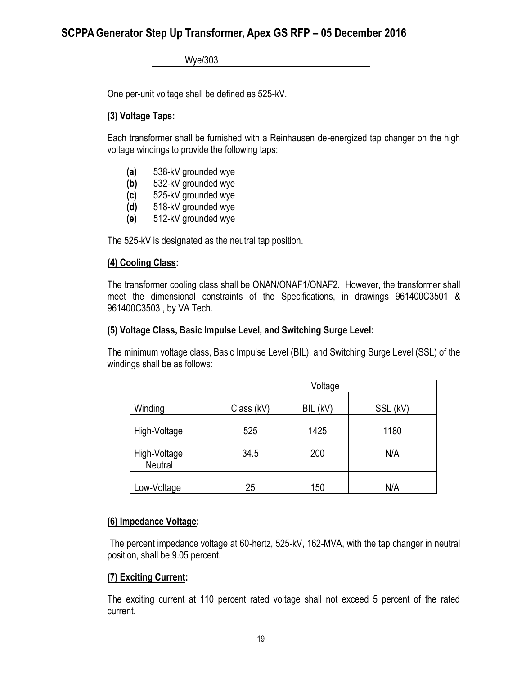Wye/303

One per-unit voltage shall be defined as 525-kV.

#### **(3) Voltage Taps:**

Each transformer shall be furnished with a Reinhausen de-energized tap changer on the high voltage windings to provide the following taps:

- **(a)** 538-kV grounded wye
- **(b)** 532-kV grounded wye
- **(c)** 525-kV grounded wye
- **(d)** 518-kV grounded wye
- **(e)** 512-kV grounded wye

The 525-kV is designated as the neutral tap position.

#### **(4) Cooling Class:**

The transformer cooling class shall be ONAN/ONAF1/ONAF2. However, the transformer shall meet the dimensional constraints of the Specifications, in drawings 961400C3501 & 961400C3503 , by VA Tech.

#### **(5) Voltage Class, Basic Impulse Level, and Switching Surge Level:**

The minimum voltage class, Basic Impulse Level (BIL), and Switching Surge Level (SSL) of the windings shall be as follows:

|                                | Voltage    |          |          |
|--------------------------------|------------|----------|----------|
| Winding                        | Class (kV) | BIL (kV) | SSL (kV) |
| High-Voltage                   | 525        | 1425     | 1180     |
| High-Voltage<br><b>Neutral</b> | 34.5       | 200      | N/A      |
| Low-Voltage                    | 25         | 150      | N/A      |

#### **(6) Impedance Voltage:**

The percent impedance voltage at 60-hertz, 525-kV, 162-MVA, with the tap changer in neutral position, shall be 9.05 percent.

#### **(7) Exciting Current:**

The exciting current at 110 percent rated voltage shall not exceed 5 percent of the rated current.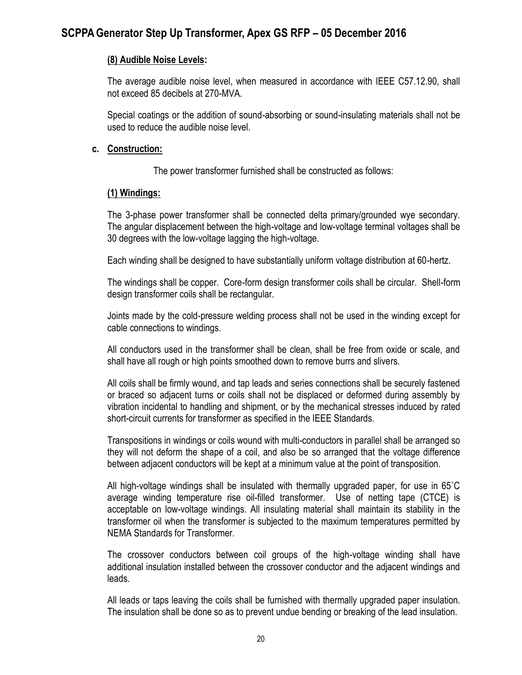#### **(8) Audible Noise Levels:**

The average audible noise level, when measured in accordance with IEEE C57.12.90, shall not exceed 85 decibels at 270-MVA.

Special coatings or the addition of sound-absorbing or sound-insulating materials shall not be used to reduce the audible noise level.

#### **c. Construction:**

The power transformer furnished shall be constructed as follows:

#### **(1) Windings:**

The 3-phase power transformer shall be connected delta primary/grounded wye secondary. The angular displacement between the high-voltage and low-voltage terminal voltages shall be 30 degrees with the low-voltage lagging the high-voltage.

Each winding shall be designed to have substantially uniform voltage distribution at 60-hertz.

The windings shall be copper. Core-form design transformer coils shall be circular. Shell-form design transformer coils shall be rectangular.

Joints made by the cold-pressure welding process shall not be used in the winding except for cable connections to windings.

All conductors used in the transformer shall be clean, shall be free from oxide or scale, and shall have all rough or high points smoothed down to remove burrs and slivers.

All coils shall be firmly wound, and tap leads and series connections shall be securely fastened or braced so adjacent turns or coils shall not be displaced or deformed during assembly by vibration incidental to handling and shipment, or by the mechanical stresses induced by rated short-circuit currents for transformer as specified in the IEEE Standards.

Transpositions in windings or coils wound with multi-conductors in parallel shall be arranged so they will not deform the shape of a coil, and also be so arranged that the voltage difference between adjacent conductors will be kept at a minimum value at the point of transposition.

All high-voltage windings shall be insulated with thermally upgraded paper, for use in 65˚C average winding temperature rise oil-filled transformer. Use of netting tape (CTCE) is acceptable on low-voltage windings. All insulating material shall maintain its stability in the transformer oil when the transformer is subjected to the maximum temperatures permitted by NEMA Standards for Transformer.

The crossover conductors between coil groups of the high-voltage winding shall have additional insulation installed between the crossover conductor and the adjacent windings and leads.

All leads or taps leaving the coils shall be furnished with thermally upgraded paper insulation. The insulation shall be done so as to prevent undue bending or breaking of the lead insulation.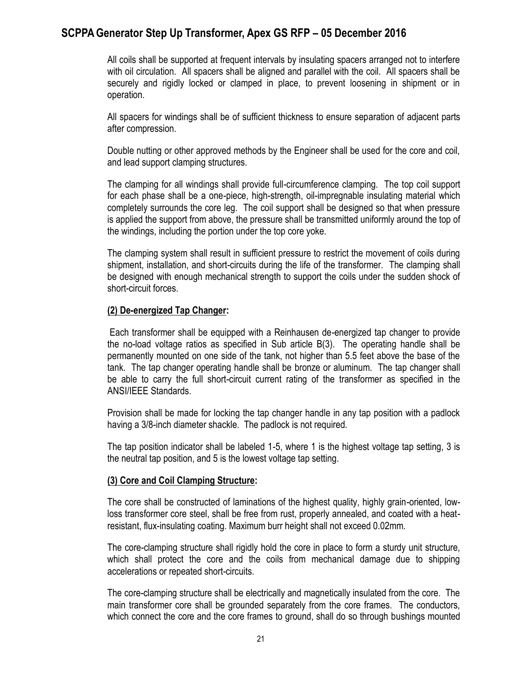All coils shall be supported at frequent intervals by insulating spacers arranged not to interfere with oil circulation. All spacers shall be aligned and parallel with the coil. All spacers shall be securely and rigidly locked or clamped in place, to prevent loosening in shipment or in operation.

All spacers for windings shall be of sufficient thickness to ensure separation of adjacent parts after compression.

Double nutting or other approved methods by the Engineer shall be used for the core and coil, and lead support clamping structures.

The clamping for all windings shall provide full-circumference clamping. The top coil support for each phase shall be a one-piece, high-strength, oil-impregnable insulating material which completely surrounds the core leg. The coil support shall be designed so that when pressure is applied the support from above, the pressure shall be transmitted uniformly around the top of the windings, including the portion under the top core yoke.

The clamping system shall result in sufficient pressure to restrict the movement of coils during shipment, installation, and short-circuits during the life of the transformer. The clamping shall be designed with enough mechanical strength to support the coils under the sudden shock of short-circuit forces.

#### **(2) De-energized Tap Changer:**

Each transformer shall be equipped with a Reinhausen de-energized tap changer to provide the no-load voltage ratios as specified in Sub article B(3). The operating handle shall be permanently mounted on one side of the tank, not higher than 5.5 feet above the base of the tank. The tap changer operating handle shall be bronze or aluminum. The tap changer shall be able to carry the full short-circuit current rating of the transformer as specified in the ANSI/IEEE Standards.

Provision shall be made for locking the tap changer handle in any tap position with a padlock having a 3/8-inch diameter shackle. The padlock is not required.

The tap position indicator shall be labeled 1-5, where 1 is the highest voltage tap setting, 3 is the neutral tap position, and 5 is the lowest voltage tap setting.

#### **(3) Core and Coil Clamping Structure:**

The core shall be constructed of laminations of the highest quality, highly grain-oriented, lowloss transformer core steel, shall be free from rust, properly annealed, and coated with a heatresistant, flux-insulating coating. Maximum burr height shall not exceed 0.02mm.

The core-clamping structure shall rigidly hold the core in place to form a sturdy unit structure, which shall protect the core and the coils from mechanical damage due to shipping accelerations or repeated short-circuits.

The core-clamping structure shall be electrically and magnetically insulated from the core. The main transformer core shall be grounded separately from the core frames. The conductors, which connect the core and the core frames to ground, shall do so through bushings mounted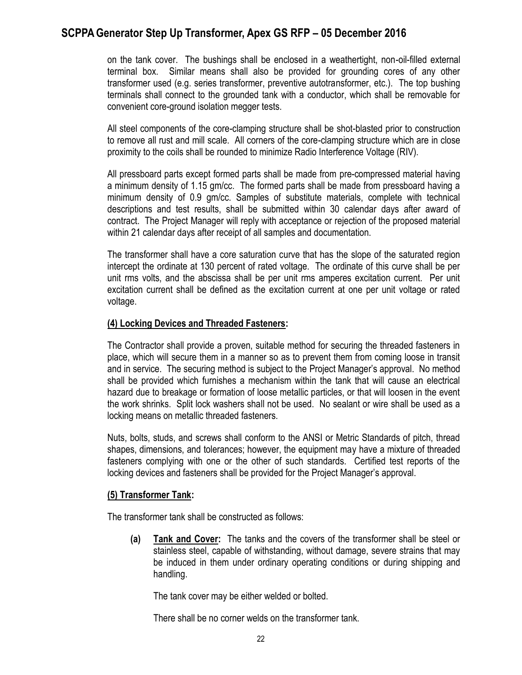on the tank cover. The bushings shall be enclosed in a weathertight, non-oil-filled external terminal box. Similar means shall also be provided for grounding cores of any other transformer used (e.g. series transformer, preventive autotransformer, etc.). The top bushing terminals shall connect to the grounded tank with a conductor, which shall be removable for convenient core-ground isolation megger tests.

All steel components of the core-clamping structure shall be shot-blasted prior to construction to remove all rust and mill scale. All corners of the core-clamping structure which are in close proximity to the coils shall be rounded to minimize Radio Interference Voltage (RIV).

All pressboard parts except formed parts shall be made from pre-compressed material having a minimum density of 1.15 gm/cc. The formed parts shall be made from pressboard having a minimum density of 0.9 gm/cc. Samples of substitute materials, complete with technical descriptions and test results, shall be submitted within 30 calendar days after award of contract. The Project Manager will reply with acceptance or rejection of the proposed material within 21 calendar days after receipt of all samples and documentation.

The transformer shall have a core saturation curve that has the slope of the saturated region intercept the ordinate at 130 percent of rated voltage. The ordinate of this curve shall be per unit rms volts, and the abscissa shall be per unit rms amperes excitation current. Per unit excitation current shall be defined as the excitation current at one per unit voltage or rated voltage.

#### **(4) Locking Devices and Threaded Fasteners:**

The Contractor shall provide a proven, suitable method for securing the threaded fasteners in place, which will secure them in a manner so as to prevent them from coming loose in transit and in service. The securing method is subject to the Project Manager's approval. No method shall be provided which furnishes a mechanism within the tank that will cause an electrical hazard due to breakage or formation of loose metallic particles, or that will loosen in the event the work shrinks. Split lock washers shall not be used. No sealant or wire shall be used as a locking means on metallic threaded fasteners.

Nuts, bolts, studs, and screws shall conform to the ANSI or Metric Standards of pitch, thread shapes, dimensions, and tolerances; however, the equipment may have a mixture of threaded fasteners complying with one or the other of such standards. Certified test reports of the locking devices and fasteners shall be provided for the Project Manager's approval.

#### **(5) Transformer Tank:**

The transformer tank shall be constructed as follows:

**(a) Tank and Cover:** The tanks and the covers of the transformer shall be steel or stainless steel, capable of withstanding, without damage, severe strains that may be induced in them under ordinary operating conditions or during shipping and handling.

The tank cover may be either welded or bolted.

There shall be no corner welds on the transformer tank.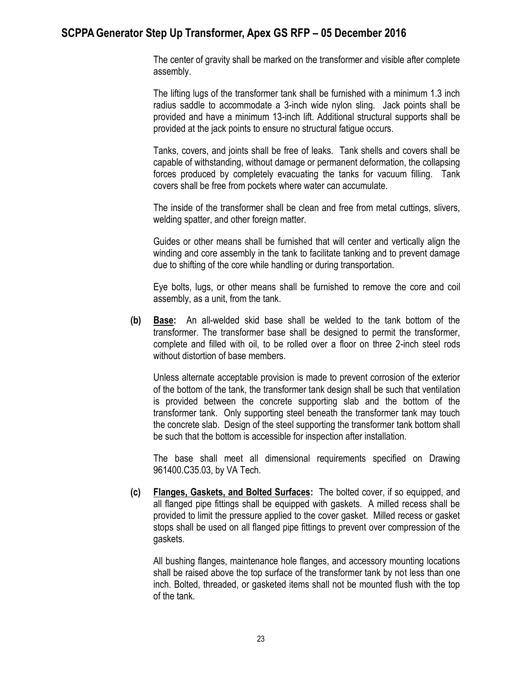The center of gravity shall be marked on the transformer and visible after complete assembly.

The lifting lugs of the transformer tank shall be furnished with a minimum 1.3 inch radius saddle to accommodate a 3-inch wide nylon sling. Jack points shall be provided and have a minimum 13-inch lift. Additional structural supports shall be provided at the jack points to ensure no structural fatigue occurs.

Tanks, covers, and joints shall be free of leaks. Tank shells and covers shall be capable of withstanding, without damage or permanent deformation, the collapsing forces produced by completely evacuating the tanks for vacuum filling. Tank covers shall be free from pockets where water can accumulate.

The inside of the transformer shall be clean and free from metal cuttings, slivers, welding spatter, and other foreign matter.

Guides or other means shall be furnished that will center and vertically align the winding and core assembly in the tank to facilitate tanking and to prevent damage due to shifting of the core while handling or during transportation.

Eye bolts, lugs, or other means shall be furnished to remove the core and coil assembly, as a unit, from the tank.

**(b) Base:** An all-welded skid base shall be welded to the tank bottom of the transformer. The transformer base shall be designed to permit the transformer, complete and filled with oil, to be rolled over a floor on three 2-inch steel rods without distortion of base members.

Unless alternate acceptable provision is made to prevent corrosion of the exterior of the bottom of the tank, the transformer tank design shall be such that ventilation is provided between the concrete supporting slab and the bottom of the transformer tank. Only supporting steel beneath the transformer tank may touch the concrete slab. Design of the steel supporting the transformer tank bottom shall be such that the bottom is accessible for inspection after installation.

The base shall meet all dimensional requirements specified on Drawing 961400.C35.03, by VA Tech.

**(c) Flanges, Gaskets, and Bolted Surfaces:** The bolted cover, if so equipped, and all flanged pipe fittings shall be equipped with gaskets. A milled recess shall be provided to limit the pressure applied to the cover gasket. Milled recess or gasket stops shall be used on all flanged pipe fittings to prevent over compression of the gaskets.

All bushing flanges, maintenance hole flanges, and accessory mounting locations shall be raised above the top surface of the transformer tank by not less than one inch. Bolted, threaded, or gasketed items shall not be mounted flush with the top of the tank.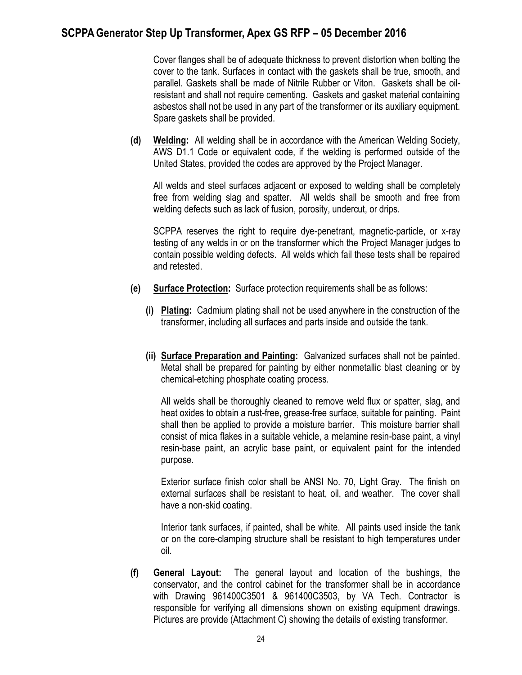Cover flanges shall be of adequate thickness to prevent distortion when bolting the cover to the tank. Surfaces in contact with the gaskets shall be true, smooth, and parallel. Gaskets shall be made of Nitrile Rubber or Viton. Gaskets shall be oilresistant and shall not require cementing. Gaskets and gasket material containing asbestos shall not be used in any part of the transformer or its auxiliary equipment. Spare gaskets shall be provided.

**(d) Welding:** All welding shall be in accordance with the American Welding Society, AWS D1.1 Code or equivalent code, if the welding is performed outside of the United States, provided the codes are approved by the Project Manager.

All welds and steel surfaces adjacent or exposed to welding shall be completely free from welding slag and spatter. All welds shall be smooth and free from welding defects such as lack of fusion, porosity, undercut, or drips.

SCPPA reserves the right to require dye-penetrant, magnetic-particle, or x-ray testing of any welds in or on the transformer which the Project Manager judges to contain possible welding defects. All welds which fail these tests shall be repaired and retested.

- **(e) Surface Protection:** Surface protection requirements shall be as follows:
	- **(i) Plating:** Cadmium plating shall not be used anywhere in the construction of the transformer, including all surfaces and parts inside and outside the tank.
	- **(ii) Surface Preparation and Painting:** Galvanized surfaces shall not be painted. Metal shall be prepared for painting by either nonmetallic blast cleaning or by chemical-etching phosphate coating process.

All welds shall be thoroughly cleaned to remove weld flux or spatter, slag, and heat oxides to obtain a rust-free, grease-free surface, suitable for painting. Paint shall then be applied to provide a moisture barrier. This moisture barrier shall consist of mica flakes in a suitable vehicle, a melamine resin-base paint, a vinyl resin-base paint, an acrylic base paint, or equivalent paint for the intended purpose.

Exterior surface finish color shall be ANSI No. 70, Light Gray. The finish on external surfaces shall be resistant to heat, oil, and weather. The cover shall have a non-skid coating.

Interior tank surfaces, if painted, shall be white. All paints used inside the tank or on the core-clamping structure shall be resistant to high temperatures under oil.

**(f) General Layout:** The general layout and location of the bushings, the conservator, and the control cabinet for the transformer shall be in accordance with Drawing 961400C3501 & 961400C3503, by VA Tech. Contractor is responsible for verifying all dimensions shown on existing equipment drawings. Pictures are provide (Attachment C) showing the details of existing transformer.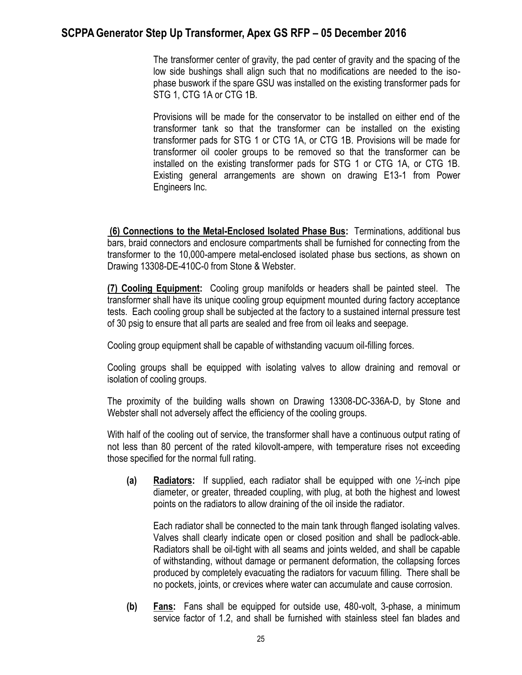The transformer center of gravity, the pad center of gravity and the spacing of the low side bushings shall align such that no modifications are needed to the isophase buswork if the spare GSU was installed on the existing transformer pads for STG 1, CTG 1A or CTG 1B.

Provisions will be made for the conservator to be installed on either end of the transformer tank so that the transformer can be installed on the existing transformer pads for STG 1 or CTG 1A, or CTG 1B. Provisions will be made for transformer oil cooler groups to be removed so that the transformer can be installed on the existing transformer pads for STG 1 or CTG 1A, or CTG 1B. Existing general arrangements are shown on drawing E13-1 from Power Engineers Inc.

**(6) Connections to the Metal-Enclosed Isolated Phase Bus:** Terminations, additional bus bars, braid connectors and enclosure compartments shall be furnished for connecting from the transformer to the 10,000-ampere metal-enclosed isolated phase bus sections, as shown on Drawing 13308-DE-410C-0 from Stone & Webster.

**(7) Cooling Equipment:** Cooling group manifolds or headers shall be painted steel. The transformer shall have its unique cooling group equipment mounted during factory acceptance tests. Each cooling group shall be subjected at the factory to a sustained internal pressure test of 30 psig to ensure that all parts are sealed and free from oil leaks and seepage.

Cooling group equipment shall be capable of withstanding vacuum oil-filling forces.

Cooling groups shall be equipped with isolating valves to allow draining and removal or isolation of cooling groups.

The proximity of the building walls shown on Drawing 13308-DC-336A-D, by Stone and Webster shall not adversely affect the efficiency of the cooling groups.

With half of the cooling out of service, the transformer shall have a continuous output rating of not less than 80 percent of the rated kilovolt-ampere, with temperature rises not exceeding those specified for the normal full rating.

**(a) Radiators:** If supplied, each radiator shall be equipped with one ½-inch pipe diameter, or greater, threaded coupling, with plug, at both the highest and lowest points on the radiators to allow draining of the oil inside the radiator.

Each radiator shall be connected to the main tank through flanged isolating valves. Valves shall clearly indicate open or closed position and shall be padlock-able. Radiators shall be oil-tight with all seams and joints welded, and shall be capable of withstanding, without damage or permanent deformation, the collapsing forces produced by completely evacuating the radiators for vacuum filling. There shall be no pockets, joints, or crevices where water can accumulate and cause corrosion.

**(b) Fans:** Fans shall be equipped for outside use, 480-volt, 3-phase, a minimum service factor of 1.2, and shall be furnished with stainless steel fan blades and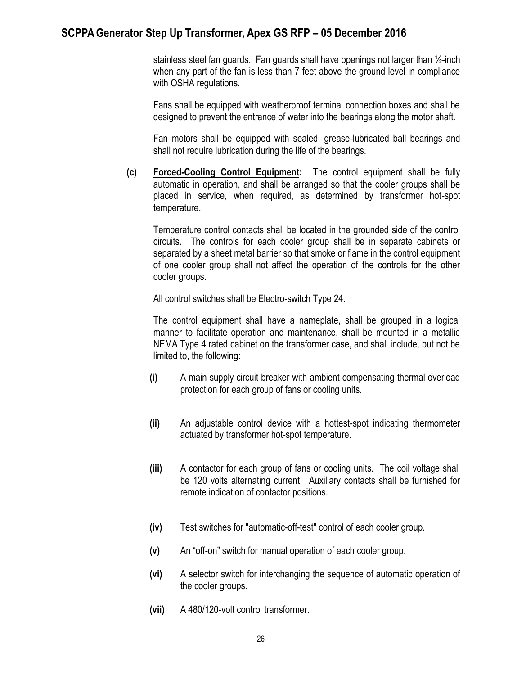stainless steel fan guards. Fan guards shall have openings not larger than ½-inch when any part of the fan is less than 7 feet above the ground level in compliance with OSHA regulations.

Fans shall be equipped with weatherproof terminal connection boxes and shall be designed to prevent the entrance of water into the bearings along the motor shaft.

Fan motors shall be equipped with sealed, grease-lubricated ball bearings and shall not require lubrication during the life of the bearings.

**(c) Forced-Cooling Control Equipment:** The control equipment shall be fully automatic in operation, and shall be arranged so that the cooler groups shall be placed in service, when required, as determined by transformer hot-spot temperature.

Temperature control contacts shall be located in the grounded side of the control circuits. The controls for each cooler group shall be in separate cabinets or separated by a sheet metal barrier so that smoke or flame in the control equipment of one cooler group shall not affect the operation of the controls for the other cooler groups.

All control switches shall be Electro-switch Type 24.

The control equipment shall have a nameplate, shall be grouped in a logical manner to facilitate operation and maintenance, shall be mounted in a metallic NEMA Type 4 rated cabinet on the transformer case, and shall include, but not be limited to, the following:

- **(i)** A main supply circuit breaker with ambient compensating thermal overload protection for each group of fans or cooling units.
- **(ii)** An adjustable control device with a hottest-spot indicating thermometer actuated by transformer hot-spot temperature.
- **(iii)** A contactor for each group of fans or cooling units. The coil voltage shall be 120 volts alternating current. Auxiliary contacts shall be furnished for remote indication of contactor positions.
- **(iv)** Test switches for "automatic-off-test" control of each cooler group.
- **(v)** An "off-on" switch for manual operation of each cooler group.
- **(vi)** A selector switch for interchanging the sequence of automatic operation of the cooler groups.
- **(vii)** A 480/120-volt control transformer.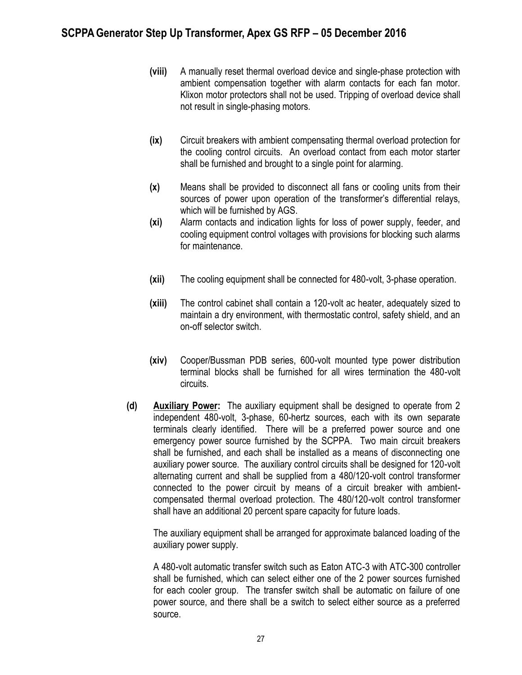- **(viii)** A manually reset thermal overload device and single-phase protection with ambient compensation together with alarm contacts for each fan motor. Klixon motor protectors shall not be used. Tripping of overload device shall not result in single-phasing motors.
- **(ix)** Circuit breakers with ambient compensating thermal overload protection for the cooling control circuits. An overload contact from each motor starter shall be furnished and brought to a single point for alarming.
- **(x)** Means shall be provided to disconnect all fans or cooling units from their sources of power upon operation of the transformer's differential relays, which will be furnished by AGS.
- **(xi)** Alarm contacts and indication lights for loss of power supply, feeder, and cooling equipment control voltages with provisions for blocking such alarms for maintenance.
- **(xii)** The cooling equipment shall be connected for 480-volt, 3-phase operation.
- **(xiii)** The control cabinet shall contain a 120-volt ac heater, adequately sized to maintain a dry environment, with thermostatic control, safety shield, and an on-off selector switch.
- **(xiv)** Cooper/Bussman PDB series, 600-volt mounted type power distribution terminal blocks shall be furnished for all wires termination the 480-volt circuits.
- **(d) Auxiliary Power:** The auxiliary equipment shall be designed to operate from 2 independent 480-volt, 3-phase, 60-hertz sources, each with its own separate terminals clearly identified. There will be a preferred power source and one emergency power source furnished by the SCPPA. Two main circuit breakers shall be furnished, and each shall be installed as a means of disconnecting one auxiliary power source. The auxiliary control circuits shall be designed for 120-volt alternating current and shall be supplied from a 480/120-volt control transformer connected to the power circuit by means of a circuit breaker with ambientcompensated thermal overload protection. The 480/120-volt control transformer shall have an additional 20 percent spare capacity for future loads.

The auxiliary equipment shall be arranged for approximate balanced loading of the auxiliary power supply.

A 480-volt automatic transfer switch such as Eaton ATC-3 with ATC-300 controller shall be furnished, which can select either one of the 2 power sources furnished for each cooler group. The transfer switch shall be automatic on failure of one power source, and there shall be a switch to select either source as a preferred source.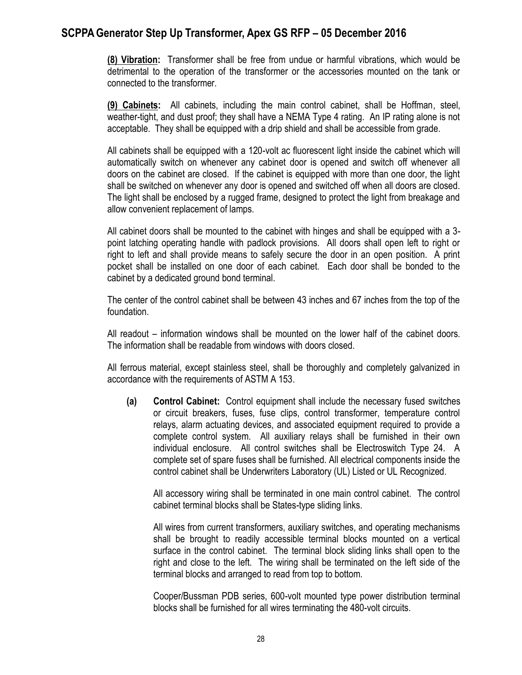**(8) Vibration:** Transformer shall be free from undue or harmful vibrations, which would be detrimental to the operation of the transformer or the accessories mounted on the tank or connected to the transformer.

**(9) Cabinets:** All cabinets, including the main control cabinet, shall be Hoffman, steel, weather-tight, and dust proof; they shall have a NEMA Type 4 rating. An IP rating alone is not acceptable. They shall be equipped with a drip shield and shall be accessible from grade.

All cabinets shall be equipped with a 120-volt ac fluorescent light inside the cabinet which will automatically switch on whenever any cabinet door is opened and switch off whenever all doors on the cabinet are closed. If the cabinet is equipped with more than one door, the light shall be switched on whenever any door is opened and switched off when all doors are closed. The light shall be enclosed by a rugged frame, designed to protect the light from breakage and allow convenient replacement of lamps.

All cabinet doors shall be mounted to the cabinet with hinges and shall be equipped with a 3 point latching operating handle with padlock provisions. All doors shall open left to right or right to left and shall provide means to safely secure the door in an open position. A print pocket shall be installed on one door of each cabinet. Each door shall be bonded to the cabinet by a dedicated ground bond terminal.

The center of the control cabinet shall be between 43 inches and 67 inches from the top of the foundation.

All readout – information windows shall be mounted on the lower half of the cabinet doors. The information shall be readable from windows with doors closed.

All ferrous material, except stainless steel, shall be thoroughly and completely galvanized in accordance with the requirements of ASTM A 153.

**(a) Control Cabinet:** Control equipment shall include the necessary fused switches or circuit breakers, fuses, fuse clips, control transformer, temperature control relays, alarm actuating devices, and associated equipment required to provide a complete control system. All auxiliary relays shall be furnished in their own individual enclosure. All control switches shall be Electroswitch Type 24. A complete set of spare fuses shall be furnished. All electrical components inside the control cabinet shall be Underwriters Laboratory (UL) Listed or UL Recognized.

All accessory wiring shall be terminated in one main control cabinet. The control cabinet terminal blocks shall be States-type sliding links.

All wires from current transformers, auxiliary switches, and operating mechanisms shall be brought to readily accessible terminal blocks mounted on a vertical surface in the control cabinet. The terminal block sliding links shall open to the right and close to the left. The wiring shall be terminated on the left side of the terminal blocks and arranged to read from top to bottom.

Cooper/Bussman PDB series, 600-volt mounted type power distribution terminal blocks shall be furnished for all wires terminating the 480-volt circuits.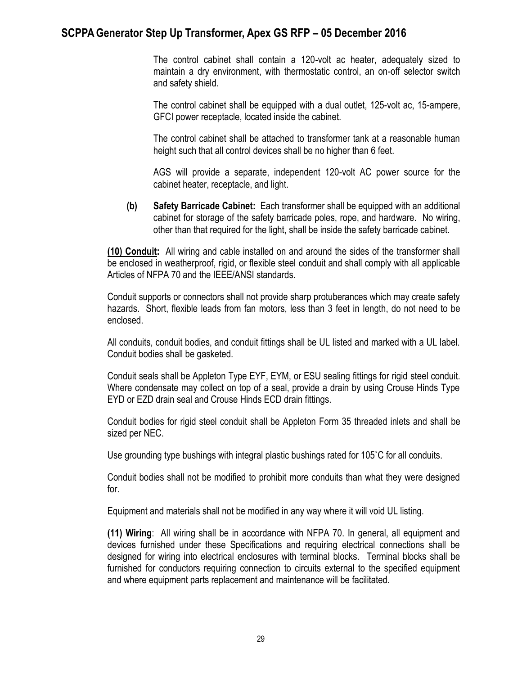The control cabinet shall contain a 120-volt ac heater, adequately sized to maintain a dry environment, with thermostatic control, an on-off selector switch and safety shield.

The control cabinet shall be equipped with a dual outlet, 125-volt ac, 15-ampere, GFCI power receptacle, located inside the cabinet.

The control cabinet shall be attached to transformer tank at a reasonable human height such that all control devices shall be no higher than 6 feet.

AGS will provide a separate, independent 120-volt AC power source for the cabinet heater, receptacle, and light.

**(b) Safety Barricade Cabinet:** Each transformer shall be equipped with an additional cabinet for storage of the safety barricade poles, rope, and hardware. No wiring, other than that required for the light, shall be inside the safety barricade cabinet.

**(10) Conduit:** All wiring and cable installed on and around the sides of the transformer shall be enclosed in weatherproof, rigid, or flexible steel conduit and shall comply with all applicable Articles of NFPA 70 and the IEEE/ANSI standards.

Conduit supports or connectors shall not provide sharp protuberances which may create safety hazards. Short, flexible leads from fan motors, less than 3 feet in length, do not need to be enclosed.

All conduits, conduit bodies, and conduit fittings shall be UL listed and marked with a UL label. Conduit bodies shall be gasketed.

Conduit seals shall be Appleton Type EYF, EYM, or ESU sealing fittings for rigid steel conduit. Where condensate may collect on top of a seal, provide a drain by using Crouse Hinds Type EYD or EZD drain seal and Crouse Hinds ECD drain fittings.

Conduit bodies for rigid steel conduit shall be Appleton Form 35 threaded inlets and shall be sized per NEC.

Use grounding type bushings with integral plastic bushings rated for 105˚C for all conduits.

Conduit bodies shall not be modified to prohibit more conduits than what they were designed for.

Equipment and materials shall not be modified in any way where it will void UL listing.

**(11) Wiring**: All wiring shall be in accordance with NFPA 70. In general, all equipment and devices furnished under these Specifications and requiring electrical connections shall be designed for wiring into electrical enclosures with terminal blocks. Terminal blocks shall be furnished for conductors requiring connection to circuits external to the specified equipment and where equipment parts replacement and maintenance will be facilitated.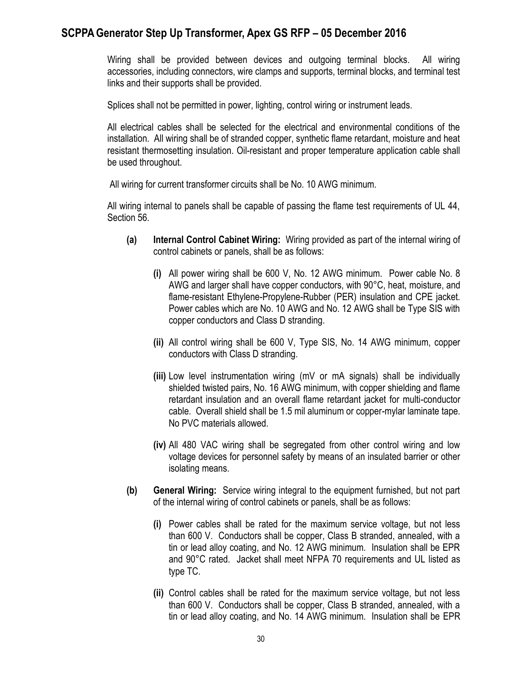Wiring shall be provided between devices and outgoing terminal blocks. All wiring accessories, including connectors, wire clamps and supports, terminal blocks, and terminal test links and their supports shall be provided.

Splices shall not be permitted in power, lighting, control wiring or instrument leads.

All electrical cables shall be selected for the electrical and environmental conditions of the installation. All wiring shall be of stranded copper, synthetic flame retardant, moisture and heat resistant thermosetting insulation. Oil-resistant and proper temperature application cable shall be used throughout.

All wiring for current transformer circuits shall be No. 10 AWG minimum.

All wiring internal to panels shall be capable of passing the flame test requirements of UL 44, Section 56.

- **(a) Internal Control Cabinet Wiring:** Wiring provided as part of the internal wiring of control cabinets or panels, shall be as follows:
	- **(i)** All power wiring shall be 600 V, No. 12 AWG minimum. Power cable No. 8 AWG and larger shall have copper conductors, with 90°C, heat, moisture, and flame-resistant Ethylene-Propylene-Rubber (PER) insulation and CPE jacket. Power cables which are No. 10 AWG and No. 12 AWG shall be Type SIS with copper conductors and Class D stranding.
	- **(ii)** All control wiring shall be 600 V, Type SIS, No. 14 AWG minimum, copper conductors with Class D stranding.
	- **(iii)** Low level instrumentation wiring (mV or mA signals) shall be individually shielded twisted pairs, No. 16 AWG minimum, with copper shielding and flame retardant insulation and an overall flame retardant jacket for multi-conductor cable. Overall shield shall be 1.5 mil aluminum or copper-mylar laminate tape. No PVC materials allowed.
	- **(iv)** All 480 VAC wiring shall be segregated from other control wiring and low voltage devices for personnel safety by means of an insulated barrier or other isolating means.
- **(b) General Wiring:** Service wiring integral to the equipment furnished, but not part of the internal wiring of control cabinets or panels, shall be as follows:
	- **(i)** Power cables shall be rated for the maximum service voltage, but not less than 600 V. Conductors shall be copper, Class B stranded, annealed, with a tin or lead alloy coating, and No. 12 AWG minimum. Insulation shall be EPR and 90°C rated. Jacket shall meet NFPA 70 requirements and UL listed as type TC.
	- **(ii)** Control cables shall be rated for the maximum service voltage, but not less than 600 V. Conductors shall be copper, Class B stranded, annealed, with a tin or lead alloy coating, and No. 14 AWG minimum. Insulation shall be EPR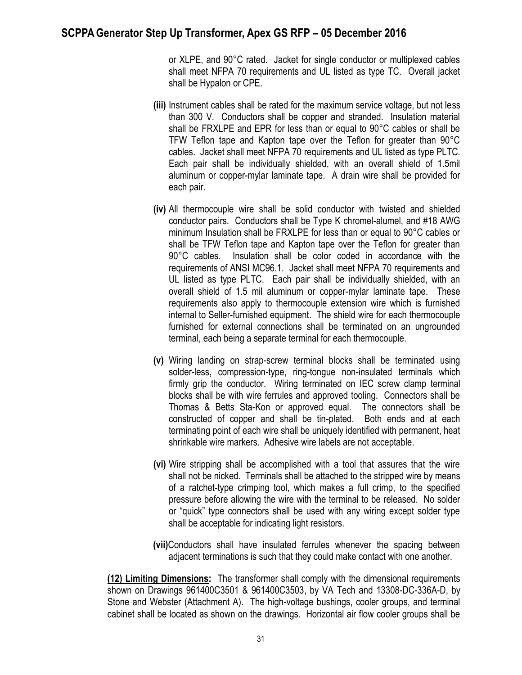or XLPE, and 90°C rated. Jacket for single conductor or multiplexed cables shall meet NFPA 70 requirements and UL listed as type TC. Overall jacket shall be Hypalon or CPE.

- **(iii)** Instrument cables shall be rated for the maximum service voltage, but not less than 300 V. Conductors shall be copper and stranded. Insulation material shall be FRXLPE and EPR for less than or equal to 90°C cables or shall be TFW Teflon tape and Kapton tape over the Teflon for greater than 90°C cables. Jacket shall meet NFPA 70 requirements and UL listed as type PLTC. Each pair shall be individually shielded, with an overall shield of 1.5mil aluminum or copper-mylar laminate tape. A drain wire shall be provided for each pair.
- **(iv)** All thermocouple wire shall be solid conductor with twisted and shielded conductor pairs. Conductors shall be Type K chromel-alumel, and #18 AWG minimum Insulation shall be FRXLPE for less than or equal to 90°C cables or shall be TFW Teflon tape and Kapton tape over the Teflon for greater than 90°C cables. Insulation shall be color coded in accordance with the requirements of ANSI MC96.1. Jacket shall meet NFPA 70 requirements and UL listed as type PLTC. Each pair shall be individually shielded, with an overall shield of 1.5 mil aluminum or copper-mylar laminate tape. These requirements also apply to thermocouple extension wire which is furnished internal to Seller-furnished equipment. The shield wire for each thermocouple furnished for external connections shall be terminated on an ungrounded terminal, each being a separate terminal for each thermocouple.
- **(v)** Wiring landing on strap-screw terminal blocks shall be terminated using solder-less, compression-type, ring-tongue non-insulated terminals which firmly grip the conductor. Wiring terminated on IEC screw clamp terminal blocks shall be with wire ferrules and approved tooling. Connectors shall be Thomas & Betts Sta-Kon or approved equal. The connectors shall be constructed of copper and shall be tin-plated. Both ends and at each terminating point of each wire shall be uniquely identified with permanent, heat shrinkable wire markers. Adhesive wire labels are not acceptable.
- **(vi)** Wire stripping shall be accomplished with a tool that assures that the wire shall not be nicked. Terminals shall be attached to the stripped wire by means of a ratchet-type crimping tool, which makes a full crimp, to the specified pressure before allowing the wire with the terminal to be released. No solder or "quick" type connectors shall be used with any wiring except solder type shall be acceptable for indicating light resistors.
- **(vii)**Conductors shall have insulated ferrules whenever the spacing between adjacent terminations is such that they could make contact with one another.

**(12) Limiting Dimensions:** The transformer shall comply with the dimensional requirements shown on Drawings 961400C3501 & 961400C3503, by VA Tech and 13308-DC-336A-D, by Stone and Webster (Attachment A). The high-voltage bushings, cooler groups, and terminal cabinet shall be located as shown on the drawings. Horizontal air flow cooler groups shall be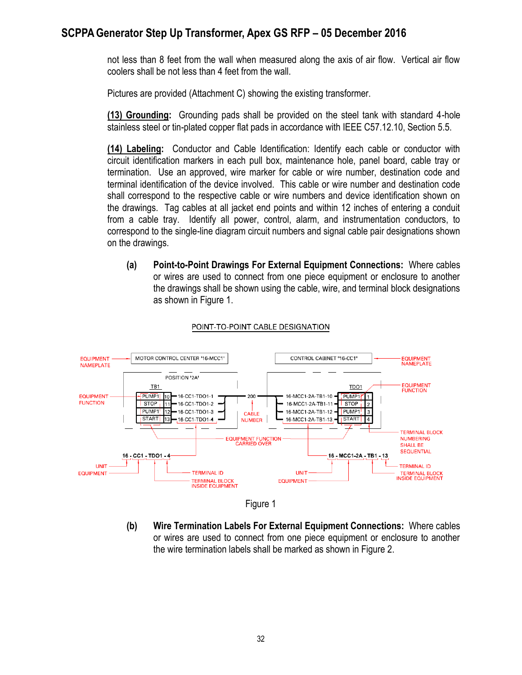not less than 8 feet from the wall when measured along the axis of air flow. Vertical air flow coolers shall be not less than 4 feet from the wall.

Pictures are provided (Attachment C) showing the existing transformer.

**(13) Grounding:** Grounding pads shall be provided on the steel tank with standard 4-hole stainless steel or tin-plated copper flat pads in accordance with IEEE C57.12.10, Section 5.5.

**(14) Labeling:** Conductor and Cable Identification: Identify each cable or conductor with circuit identification markers in each pull box, maintenance hole, panel board, cable tray or termination. Use an approved, wire marker for cable or wire number, destination code and terminal identification of the device involved. This cable or wire number and destination code shall correspond to the respective cable or wire numbers and device identification shown on the drawings. Tag cables at all jacket end points and within 12 inches of entering a conduit from a cable tray. Identify all power, control, alarm, and instrumentation conductors, to correspond to the single-line diagram circuit numbers and signal cable pair designations shown on the drawings.

**(a) Point-to-Point Drawings For External Equipment Connections:** Where cables or wires are used to connect from one piece equipment or enclosure to another the drawings shall be shown using the cable, wire, and terminal block designations as shown in Figure 1.



#### POINT-TO-POINT CABLE DESIGNATION



**(b) Wire Termination Labels For External Equipment Connections:** Where cables or wires are used to connect from one piece equipment or enclosure to another the wire termination labels shall be marked as shown in Figure 2.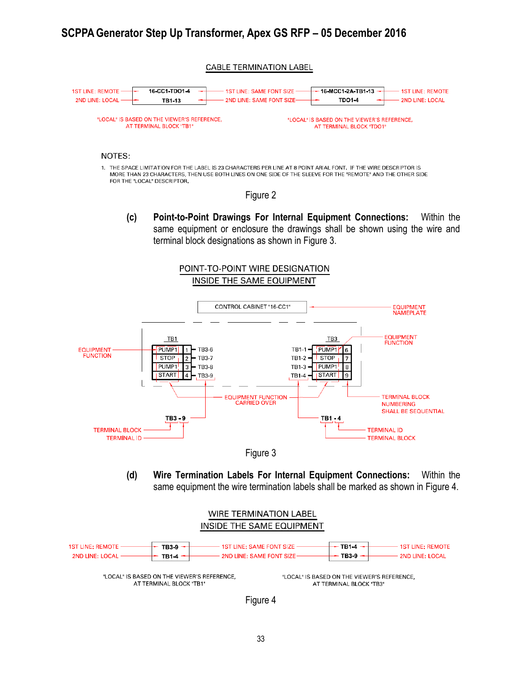#### **CABLE TERMINATION LABEL**



#### NOTES:

1. THE SPACE LIMITATION FOR THE LABEL IS 23 CHARACTERS PER LINE AT 8 POINT ARIAL FONT. IF THE WIRE DESCRIPTOR IS MORE THAN 23 CHARACTERS, THEN USE BOTH LINES ON ONE SIDE OF THE SLEEVE FOR THE "REMOTE" AND THE OTHER SIDE FOR THE "LOCAL" DESCRIPTOR.

#### Figure 2

**(c) Point-to-Point Drawings For Internal Equipment Connections:** Within the same equipment or enclosure the drawings shall be shown using the wire and terminal block designations as shown in Figure 3.







**(d) Wire Termination Labels For Internal Equipment Connections:** Within the same equipment the wire termination labels shall be marked as shown in Figure 4.



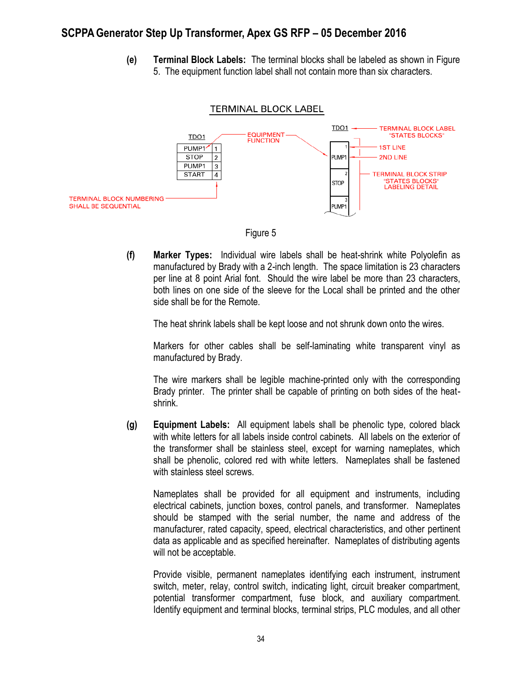**(e) Terminal Block Labels:** The terminal blocks shall be labeled as shown in Figure 5. The equipment function label shall not contain more than six characters.



Figure 5

**(f) Marker Types:** Individual wire labels shall be heat-shrink white Polyolefin as manufactured by Brady with a 2-inch length. The space limitation is 23 characters per line at 8 point Arial font. Should the wire label be more than 23 characters, both lines on one side of the sleeve for the Local shall be printed and the other side shall be for the Remote.

The heat shrink labels shall be kept loose and not shrunk down onto the wires.

Markers for other cables shall be self-laminating white transparent vinyl as manufactured by Brady.

The wire markers shall be legible machine-printed only with the corresponding Brady printer. The printer shall be capable of printing on both sides of the heatshrink.

**(g) Equipment Labels:** All equipment labels shall be phenolic type, colored black with white letters for all labels inside control cabinets. All labels on the exterior of the transformer shall be stainless steel, except for warning nameplates, which shall be phenolic, colored red with white letters. Nameplates shall be fastened with stainless steel screws.

Nameplates shall be provided for all equipment and instruments, including electrical cabinets, junction boxes, control panels, and transformer. Nameplates should be stamped with the serial number, the name and address of the manufacturer, rated capacity, speed, electrical characteristics, and other pertinent data as applicable and as specified hereinafter. Nameplates of distributing agents will not be acceptable.

Provide visible, permanent nameplates identifying each instrument, instrument switch, meter, relay, control switch, indicating light, circuit breaker compartment, potential transformer compartment, fuse block, and auxiliary compartment. Identify equipment and terminal blocks, terminal strips, PLC modules, and all other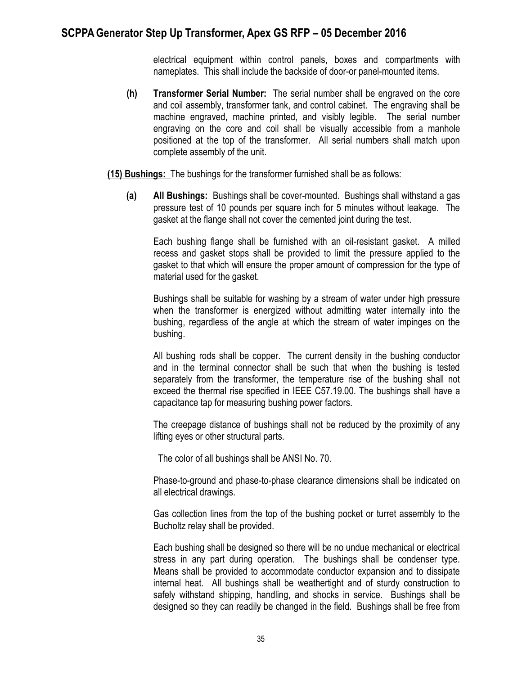electrical equipment within control panels, boxes and compartments with nameplates. This shall include the backside of door-or panel-mounted items.

**(h) Transformer Serial Number:** The serial number shall be engraved on the core and coil assembly, transformer tank, and control cabinet. The engraving shall be machine engraved, machine printed, and visibly legible. The serial number engraving on the core and coil shall be visually accessible from a manhole positioned at the top of the transformer. All serial numbers shall match upon complete assembly of the unit.

**(15) Bushings:** The bushings for the transformer furnished shall be as follows:

**(a) All Bushings:** Bushings shall be cover-mounted. Bushings shall withstand a gas pressure test of 10 pounds per square inch for 5 minutes without leakage. The gasket at the flange shall not cover the cemented joint during the test.

Each bushing flange shall be furnished with an oil-resistant gasket. A milled recess and gasket stops shall be provided to limit the pressure applied to the gasket to that which will ensure the proper amount of compression for the type of material used for the gasket.

Bushings shall be suitable for washing by a stream of water under high pressure when the transformer is energized without admitting water internally into the bushing, regardless of the angle at which the stream of water impinges on the bushing.

All bushing rods shall be copper. The current density in the bushing conductor and in the terminal connector shall be such that when the bushing is tested separately from the transformer, the temperature rise of the bushing shall not exceed the thermal rise specified in IEEE C57.19.00. The bushings shall have a capacitance tap for measuring bushing power factors.

The creepage distance of bushings shall not be reduced by the proximity of any lifting eyes or other structural parts.

The color of all bushings shall be ANSI No. 70.

Phase-to-ground and phase-to-phase clearance dimensions shall be indicated on all electrical drawings.

Gas collection lines from the top of the bushing pocket or turret assembly to the Bucholtz relay shall be provided.

Each bushing shall be designed so there will be no undue mechanical or electrical stress in any part during operation. The bushings shall be condenser type. Means shall be provided to accommodate conductor expansion and to dissipate internal heat. All bushings shall be weathertight and of sturdy construction to safely withstand shipping, handling, and shocks in service. Bushings shall be designed so they can readily be changed in the field. Bushings shall be free from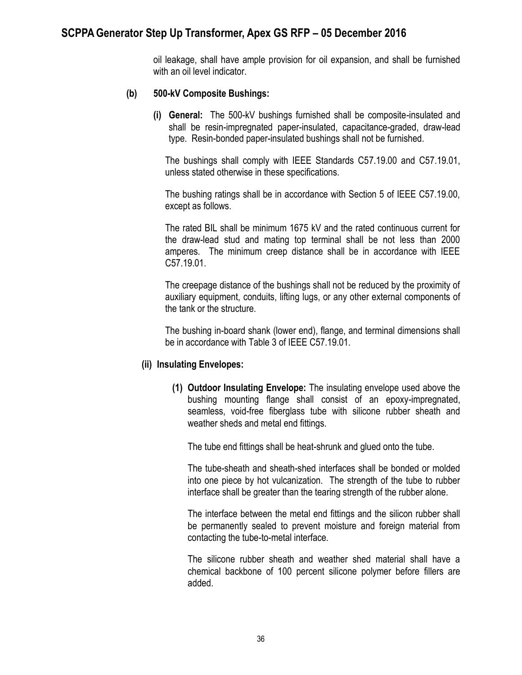oil leakage, shall have ample provision for oil expansion, and shall be furnished with an oil level indicator.

#### **(b) 500-kV Composite Bushings:**

**(i) General:** The 500-kV bushings furnished shall be composite-insulated and shall be resin-impregnated paper-insulated, capacitance-graded, draw-lead type. Resin-bonded paper-insulated bushings shall not be furnished.

The bushings shall comply with IEEE Standards C57.19.00 and C57.19.01, unless stated otherwise in these specifications.

The bushing ratings shall be in accordance with Section 5 of IEEE C57.19.00, except as follows.

The rated BIL shall be minimum 1675 kV and the rated continuous current for the draw-lead stud and mating top terminal shall be not less than 2000 amperes. The minimum creep distance shall be in accordance with IEEE C57.19.01.

The creepage distance of the bushings shall not be reduced by the proximity of auxiliary equipment, conduits, lifting lugs, or any other external components of the tank or the structure.

The bushing in-board shank (lower end), flange, and terminal dimensions shall be in accordance with Table 3 of IEEE C57.19.01.

#### **(ii) Insulating Envelopes:**

**(1) Outdoor Insulating Envelope:** The insulating envelope used above the bushing mounting flange shall consist of an epoxy-impregnated, seamless, void-free fiberglass tube with silicone rubber sheath and weather sheds and metal end fittings.

The tube end fittings shall be heat-shrunk and glued onto the tube.

The tube-sheath and sheath-shed interfaces shall be bonded or molded into one piece by hot vulcanization. The strength of the tube to rubber interface shall be greater than the tearing strength of the rubber alone.

The interface between the metal end fittings and the silicon rubber shall be permanently sealed to prevent moisture and foreign material from contacting the tube-to-metal interface.

The silicone rubber sheath and weather shed material shall have a chemical backbone of 100 percent silicone polymer before fillers are added.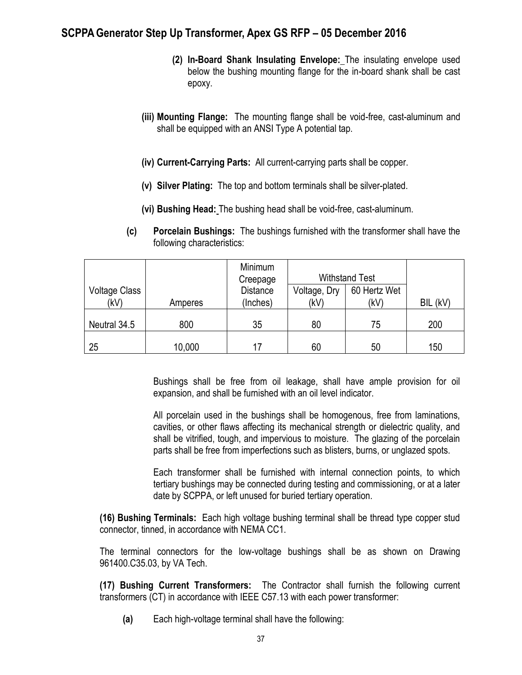- **(2) In-Board Shank Insulating Envelope:** The insulating envelope used below the bushing mounting flange for the in-board shank shall be cast epoxy.
- **(iii) Mounting Flange:** The mounting flange shall be void-free, cast-aluminum and shall be equipped with an ANSI Type A potential tap.
- **(iv) Current-Carrying Parts:** All current-carrying parts shall be copper.
- **(v) Silver Plating:** The top and bottom terminals shall be silver-plated.
- **(vi) Bushing Head:** The bushing head shall be void-free, cast-aluminum.
- **(c) Porcelain Bushings:** The bushings furnished with the transformer shall have the following characteristics:

|                              |         | Minimum<br>Creepage         |                      | <b>Withstand Test</b> |          |
|------------------------------|---------|-----------------------------|----------------------|-----------------------|----------|
| <b>Voltage Class</b><br>(kV) | Amperes | <b>Distance</b><br>(Inches) | Voltage, Dry<br>(kV) | 60 Hertz Wet<br>(kV)  | BIL (kV) |
| Neutral 34.5                 | 800     | 35                          | 80                   | 75                    | 200      |
| 25                           | 10,000  | 17                          | 60                   | 50                    | 150      |

Bushings shall be free from oil leakage, shall have ample provision for oil expansion, and shall be furnished with an oil level indicator.

All porcelain used in the bushings shall be homogenous, free from laminations, cavities, or other flaws affecting its mechanical strength or dielectric quality, and shall be vitrified, tough, and impervious to moisture. The glazing of the porcelain parts shall be free from imperfections such as blisters, burns, or unglazed spots.

Each transformer shall be furnished with internal connection points, to which tertiary bushings may be connected during testing and commissioning, or at a later date by SCPPA, or left unused for buried tertiary operation.

**(16) Bushing Terminals:** Each high voltage bushing terminal shall be thread type copper stud connector, tinned, in accordance with NEMA CC1.

The terminal connectors for the low-voltage bushings shall be as shown on Drawing 961400.C35.03, by VA Tech.

**(17) Bushing Current Transformers:** The Contractor shall furnish the following current transformers (CT) in accordance with IEEE C57.13 with each power transformer:

**(a)** Each high-voltage terminal shall have the following: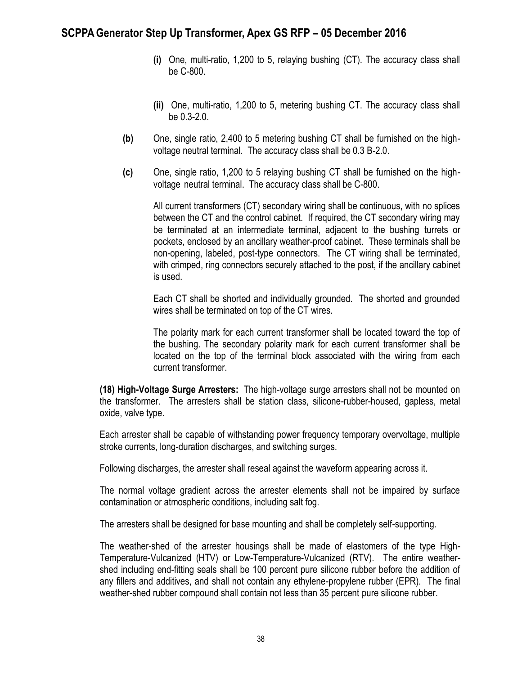- **(i)** One, multi-ratio, 1,200 to 5, relaying bushing (CT). The accuracy class shall be C-800.
- **(ii)** One, multi-ratio, 1,200 to 5, metering bushing CT. The accuracy class shall be 0.3-2.0.
- **(b)** One, single ratio, 2,400 to 5 metering bushing CT shall be furnished on the highvoltage neutral terminal. The accuracy class shall be 0.3 B-2.0.
- **(c)** One, single ratio, 1,200 to 5 relaying bushing CT shall be furnished on the highvoltage neutral terminal. The accuracy class shall be C-800.

All current transformers (CT) secondary wiring shall be continuous, with no splices between the CT and the control cabinet. If required, the CT secondary wiring may be terminated at an intermediate terminal, adjacent to the bushing turrets or pockets, enclosed by an ancillary weather-proof cabinet. These terminals shall be non-opening, labeled, post-type connectors. The CT wiring shall be terminated, with crimped, ring connectors securely attached to the post, if the ancillary cabinet is used.

Each CT shall be shorted and individually grounded. The shorted and grounded wires shall be terminated on top of the CT wires.

The polarity mark for each current transformer shall be located toward the top of the bushing. The secondary polarity mark for each current transformer shall be located on the top of the terminal block associated with the wiring from each current transformer.

**(18) High-Voltage Surge Arresters:** The high-voltage surge arresters shall not be mounted on the transformer. The arresters shall be station class, silicone-rubber-housed, gapless, metal oxide, valve type.

Each arrester shall be capable of withstanding power frequency temporary overvoltage, multiple stroke currents, long-duration discharges, and switching surges.

Following discharges, the arrester shall reseal against the waveform appearing across it.

The normal voltage gradient across the arrester elements shall not be impaired by surface contamination or atmospheric conditions, including salt fog.

The arresters shall be designed for base mounting and shall be completely self-supporting.

The weather-shed of the arrester housings shall be made of elastomers of the type High-Temperature-Vulcanized (HTV) or Low-Temperature-Vulcanized (RTV). The entire weathershed including end-fitting seals shall be 100 percent pure silicone rubber before the addition of any fillers and additives, and shall not contain any ethylene-propylene rubber (EPR). The final weather-shed rubber compound shall contain not less than 35 percent pure silicone rubber.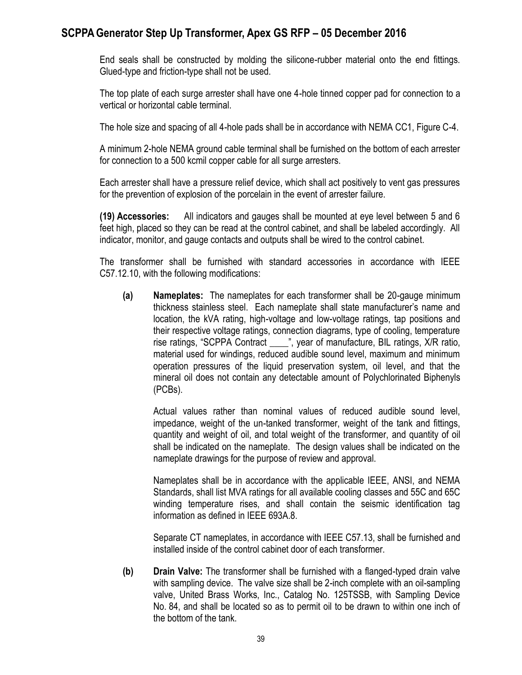End seals shall be constructed by molding the silicone-rubber material onto the end fittings. Glued-type and friction-type shall not be used.

The top plate of each surge arrester shall have one 4-hole tinned copper pad for connection to a vertical or horizontal cable terminal.

The hole size and spacing of all 4-hole pads shall be in accordance with NEMA CC1, Figure C-4.

A minimum 2-hole NEMA ground cable terminal shall be furnished on the bottom of each arrester for connection to a 500 kcmil copper cable for all surge arresters.

Each arrester shall have a pressure relief device, which shall act positively to vent gas pressures for the prevention of explosion of the porcelain in the event of arrester failure.

**(19) Accessories:** All indicators and gauges shall be mounted at eye level between 5 and 6 feet high, placed so they can be read at the control cabinet, and shall be labeled accordingly. All indicator, monitor, and gauge contacts and outputs shall be wired to the control cabinet.

The transformer shall be furnished with standard accessories in accordance with IEEE C57.12.10, with the following modifications:

**(a) Nameplates:** The nameplates for each transformer shall be 20-gauge minimum thickness stainless steel. Each nameplate shall state manufacturer's name and location, the kVA rating, high-voltage and low-voltage ratings, tap positions and their respective voltage ratings, connection diagrams, type of cooling, temperature rise ratings, "SCPPA Contract \_\_\_\_", year of manufacture, BIL ratings, X/R ratio, material used for windings, reduced audible sound level, maximum and minimum operation pressures of the liquid preservation system, oil level, and that the mineral oil does not contain any detectable amount of Polychlorinated Biphenyls (PCBs).

Actual values rather than nominal values of reduced audible sound level, impedance, weight of the un-tanked transformer, weight of the tank and fittings, quantity and weight of oil, and total weight of the transformer, and quantity of oil shall be indicated on the nameplate. The design values shall be indicated on the nameplate drawings for the purpose of review and approval.

Nameplates shall be in accordance with the applicable IEEE, ANSI, and NEMA Standards, shall list MVA ratings for all available cooling classes and 55C and 65C winding temperature rises, and shall contain the seismic identification tag information as defined in IEEE 693A.8.

Separate CT nameplates, in accordance with IEEE C57.13, shall be furnished and installed inside of the control cabinet door of each transformer.

**(b) Drain Valve:** The transformer shall be furnished with a flanged-typed drain valve with sampling device. The valve size shall be 2-inch complete with an oil-sampling valve, United Brass Works, Inc., Catalog No. 125TSSB, with Sampling Device No. 84, and shall be located so as to permit oil to be drawn to within one inch of the bottom of the tank.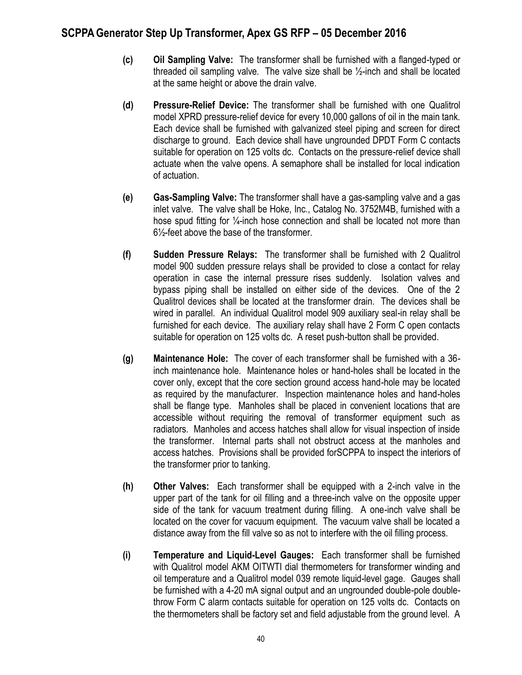- **(c) Oil Sampling Valve:** The transformer shall be furnished with a flanged-typed or threaded oil sampling valve. The valve size shall be ½-inch and shall be located at the same height or above the drain valve.
- **(d) Pressure-Relief Device:** The transformer shall be furnished with one Qualitrol model XPRD pressure-relief device for every 10,000 gallons of oil in the main tank. Each device shall be furnished with galvanized steel piping and screen for direct discharge to ground. Each device shall have ungrounded DPDT Form C contacts suitable for operation on 125 volts dc. Contacts on the pressure-relief device shall actuate when the valve opens. A semaphore shall be installed for local indication of actuation.
- **(e) Gas-Sampling Valve:** The transformer shall have a gas-sampling valve and a gas inlet valve. The valve shall be Hoke, Inc., Catalog No. 3752M4B, furnished with a hose spud fitting for 1/<sub>4</sub>-inch hose connection and shall be located not more than 6½-feet above the base of the transformer.
- **(f) Sudden Pressure Relays:** The transformer shall be furnished with 2 Qualitrol model 900 sudden pressure relays shall be provided to close a contact for relay operation in case the internal pressure rises suddenly. Isolation valves and bypass piping shall be installed on either side of the devices. One of the 2 Qualitrol devices shall be located at the transformer drain. The devices shall be wired in parallel. An individual Qualitrol model 909 auxiliary seal-in relay shall be furnished for each device. The auxiliary relay shall have 2 Form C open contacts suitable for operation on 125 volts dc. A reset push-button shall be provided.
- **(g) Maintenance Hole:** The cover of each transformer shall be furnished with a 36 inch maintenance hole. Maintenance holes or hand-holes shall be located in the cover only, except that the core section ground access hand-hole may be located as required by the manufacturer. Inspection maintenance holes and hand-holes shall be flange type. Manholes shall be placed in convenient locations that are accessible without requiring the removal of transformer equipment such as radiators. Manholes and access hatches shall allow for visual inspection of inside the transformer. Internal parts shall not obstruct access at the manholes and access hatches. Provisions shall be provided forSCPPA to inspect the interiors of the transformer prior to tanking.
- **(h) Other Valves:** Each transformer shall be equipped with a 2-inch valve in the upper part of the tank for oil filling and a three-inch valve on the opposite upper side of the tank for vacuum treatment during filling. A one-inch valve shall be located on the cover for vacuum equipment. The vacuum valve shall be located a distance away from the fill valve so as not to interfere with the oil filling process.
- **(i) Temperature and Liquid-Level Gauges:** Each transformer shall be furnished with Qualitrol model AKM OITWTI dial thermometers for transformer winding and oil temperature and a Qualitrol model 039 remote liquid-level gage. Gauges shall be furnished with a 4-20 mA signal output and an ungrounded double-pole doublethrow Form C alarm contacts suitable for operation on 125 volts dc. Contacts on the thermometers shall be factory set and field adjustable from the ground level. A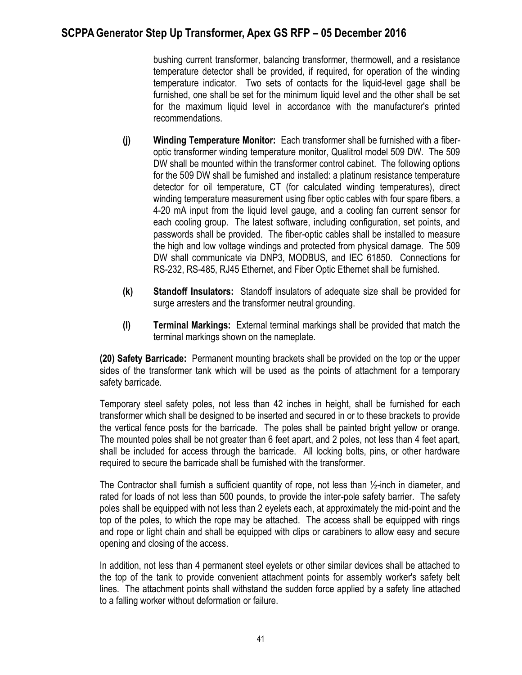bushing current transformer, balancing transformer, thermowell, and a resistance temperature detector shall be provided, if required, for operation of the winding temperature indicator. Two sets of contacts for the liquid-level gage shall be furnished, one shall be set for the minimum liquid level and the other shall be set for the maximum liquid level in accordance with the manufacturer's printed recommendations.

- **(j) Winding Temperature Monitor:** Each transformer shall be furnished with a fiberoptic transformer winding temperature monitor, Qualitrol model 509 DW. The 509 DW shall be mounted within the transformer control cabinet. The following options for the 509 DW shall be furnished and installed: a platinum resistance temperature detector for oil temperature, CT (for calculated winding temperatures), direct winding temperature measurement using fiber optic cables with four spare fibers, a 4-20 mA input from the liquid level gauge, and a cooling fan current sensor for each cooling group. The latest software, including configuration, set points, and passwords shall be provided. The fiber-optic cables shall be installed to measure the high and low voltage windings and protected from physical damage. The 509 DW shall communicate via DNP3, MODBUS, and IEC 61850. Connections for RS-232, RS-485, RJ45 Ethernet, and Fiber Optic Ethernet shall be furnished.
- **(k) Standoff Insulators:** Standoff insulators of adequate size shall be provided for surge arresters and the transformer neutral grounding.
- **(l) Terminal Markings:** External terminal markings shall be provided that match the terminal markings shown on the nameplate.

**(20) Safety Barricade:** Permanent mounting brackets shall be provided on the top or the upper sides of the transformer tank which will be used as the points of attachment for a temporary safety barricade.

Temporary steel safety poles, not less than 42 inches in height, shall be furnished for each transformer which shall be designed to be inserted and secured in or to these brackets to provide the vertical fence posts for the barricade. The poles shall be painted bright yellow or orange. The mounted poles shall be not greater than 6 feet apart, and 2 poles, not less than 4 feet apart, shall be included for access through the barricade. All locking bolts, pins, or other hardware required to secure the barricade shall be furnished with the transformer.

The Contractor shall furnish a sufficient quantity of rope, not less than ½-inch in diameter, and rated for loads of not less than 500 pounds, to provide the inter-pole safety barrier. The safety poles shall be equipped with not less than 2 eyelets each, at approximately the mid-point and the top of the poles, to which the rope may be attached. The access shall be equipped with rings and rope or light chain and shall be equipped with clips or carabiners to allow easy and secure opening and closing of the access.

In addition, not less than 4 permanent steel eyelets or other similar devices shall be attached to the top of the tank to provide convenient attachment points for assembly worker's safety belt lines. The attachment points shall withstand the sudden force applied by a safety line attached to a falling worker without deformation or failure.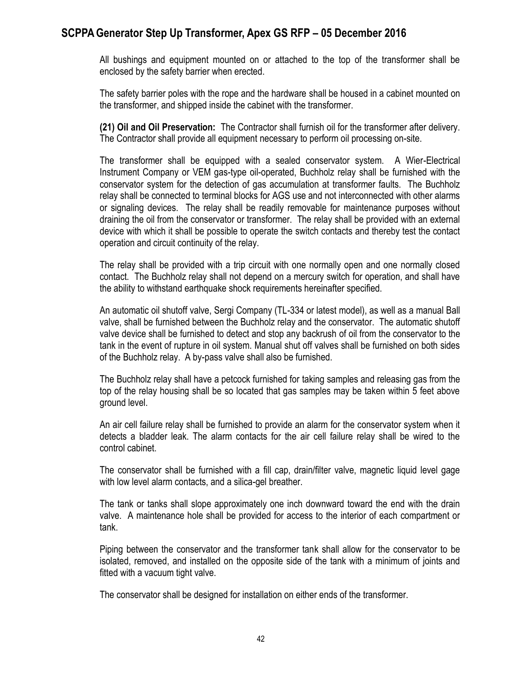All bushings and equipment mounted on or attached to the top of the transformer shall be enclosed by the safety barrier when erected.

The safety barrier poles with the rope and the hardware shall be housed in a cabinet mounted on the transformer, and shipped inside the cabinet with the transformer.

**(21) Oil and Oil Preservation:** The Contractor shall furnish oil for the transformer after delivery. The Contractor shall provide all equipment necessary to perform oil processing on-site.

The transformer shall be equipped with a sealed conservator system. A Wier-Electrical Instrument Company or VEM gas-type oil-operated, Buchholz relay shall be furnished with the conservator system for the detection of gas accumulation at transformer faults. The Buchholz relay shall be connected to terminal blocks for AGS use and not interconnected with other alarms or signaling devices. The relay shall be readily removable for maintenance purposes without draining the oil from the conservator or transformer. The relay shall be provided with an external device with which it shall be possible to operate the switch contacts and thereby test the contact operation and circuit continuity of the relay.

The relay shall be provided with a trip circuit with one normally open and one normally closed contact. The Buchholz relay shall not depend on a mercury switch for operation, and shall have the ability to withstand earthquake shock requirements hereinafter specified.

An automatic oil shutoff valve, Sergi Company (TL-334 or latest model), as well as a manual Ball valve, shall be furnished between the Buchholz relay and the conservator. The automatic shutoff valve device shall be furnished to detect and stop any backrush of oil from the conservator to the tank in the event of rupture in oil system. Manual shut off valves shall be furnished on both sides of the Buchholz relay. A by-pass valve shall also be furnished.

The Buchholz relay shall have a petcock furnished for taking samples and releasing gas from the top of the relay housing shall be so located that gas samples may be taken within 5 feet above ground level.

An air cell failure relay shall be furnished to provide an alarm for the conservator system when it detects a bladder leak. The alarm contacts for the air cell failure relay shall be wired to the control cabinet.

The conservator shall be furnished with a fill cap, drain/filter valve, magnetic liquid level gage with low level alarm contacts, and a silica-gel breather.

The tank or tanks shall slope approximately one inch downward toward the end with the drain valve. A maintenance hole shall be provided for access to the interior of each compartment or tank.

Piping between the conservator and the transformer tank shall allow for the conservator to be isolated, removed, and installed on the opposite side of the tank with a minimum of joints and fitted with a vacuum tight valve.

The conservator shall be designed for installation on either ends of the transformer.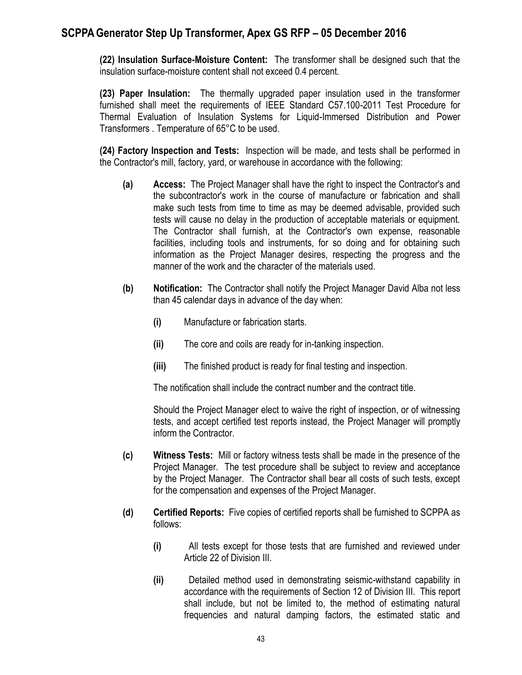**(22) Insulation Surface-Moisture Content:** The transformer shall be designed such that the insulation surface-moisture content shall not exceed 0.4 percent.

**(23) Paper Insulation:** The thermally upgraded paper insulation used in the transformer furnished shall meet the requirements of IEEE Standard C57.100-2011 Test Procedure for Thermal Evaluation of Insulation Systems for Liquid-Immersed Distribution and Power Transformers . Temperature of 65°C to be used.

**(24) Factory Inspection and Tests:** Inspection will be made, and tests shall be performed in the Contractor's mill, factory, yard, or warehouse in accordance with the following:

- **(a) Access:** The Project Manager shall have the right to inspect the Contractor's and the subcontractor's work in the course of manufacture or fabrication and shall make such tests from time to time as may be deemed advisable, provided such tests will cause no delay in the production of acceptable materials or equipment. The Contractor shall furnish, at the Contractor's own expense, reasonable facilities, including tools and instruments, for so doing and for obtaining such information as the Project Manager desires, respecting the progress and the manner of the work and the character of the materials used.
- **(b) Notification:** The Contractor shall notify the Project Manager David Alba not less than 45 calendar days in advance of the day when:
	- **(i)** Manufacture or fabrication starts.
	- **(ii)** The core and coils are ready for in-tanking inspection.
	- **(iii)** The finished product is ready for final testing and inspection.

The notification shall include the contract number and the contract title.

Should the Project Manager elect to waive the right of inspection, or of witnessing tests, and accept certified test reports instead, the Project Manager will promptly inform the Contractor.

- **(c) Witness Tests:** Mill or factory witness tests shall be made in the presence of the Project Manager. The test procedure shall be subject to review and acceptance by the Project Manager. The Contractor shall bear all costs of such tests, except for the compensation and expenses of the Project Manager.
- **(d) Certified Reports:** Five copies of certified reports shall be furnished to SCPPA as follows:
	- **(i)** All tests except for those tests that are furnished and reviewed under Article 22 of Division III.
	- **(ii)** Detailed method used in demonstrating seismic-withstand capability in accordance with the requirements of Section 12 of Division III. This report shall include, but not be limited to, the method of estimating natural frequencies and natural damping factors, the estimated static and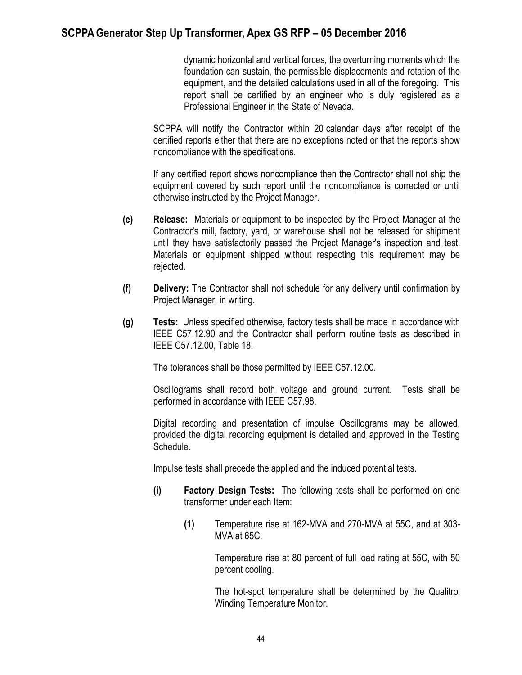dynamic horizontal and vertical forces, the overturning moments which the foundation can sustain, the permissible displacements and rotation of the equipment, and the detailed calculations used in all of the foregoing. This report shall be certified by an engineer who is duly registered as a Professional Engineer in the State of Nevada.

SCPPA will notify the Contractor within 20 calendar days after receipt of the certified reports either that there are no exceptions noted or that the reports show noncompliance with the specifications.

If any certified report shows noncompliance then the Contractor shall not ship the equipment covered by such report until the noncompliance is corrected or until otherwise instructed by the Project Manager.

- **(e) Release:** Materials or equipment to be inspected by the Project Manager at the Contractor's mill, factory, yard, or warehouse shall not be released for shipment until they have satisfactorily passed the Project Manager's inspection and test. Materials or equipment shipped without respecting this requirement may be rejected.
- **(f) Delivery:** The Contractor shall not schedule for any delivery until confirmation by Project Manager, in writing.
- **(g) Tests:** Unless specified otherwise, factory tests shall be made in accordance with IEEE C57.12.90 and the Contractor shall perform routine tests as described in IEEE C57.12.00, Table 18.

The tolerances shall be those permitted by IEEE C57.12.00.

Oscillograms shall record both voltage and ground current. Tests shall be performed in accordance with IEEE C57.98.

Digital recording and presentation of impulse Oscillograms may be allowed, provided the digital recording equipment is detailed and approved in the Testing Schedule.

Impulse tests shall precede the applied and the induced potential tests.

- **(i) Factory Design Tests:** The following tests shall be performed on one transformer under each Item:
	- **(1)** Temperature rise at 162-MVA and 270-MVA at 55C, and at 303- MVA at 65C.

Temperature rise at 80 percent of full load rating at 55C, with 50 percent cooling.

The hot-spot temperature shall be determined by the Qualitrol Winding Temperature Monitor.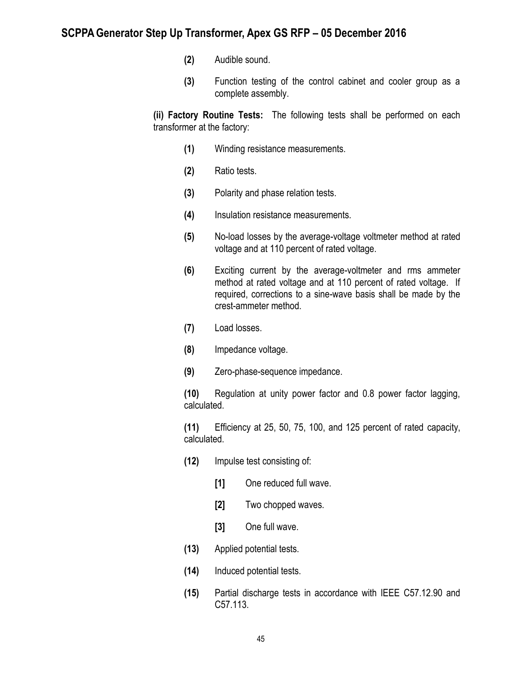- **(2)** Audible sound.
- **(3)** Function testing of the control cabinet and cooler group as a complete assembly.

**(ii) Factory Routine Tests:** The following tests shall be performed on each transformer at the factory:

- **(1)** Winding resistance measurements.
- **(2)** Ratio tests.
- **(3)** Polarity and phase relation tests.
- **(4)** Insulation resistance measurements.
- **(5)** No-load losses by the average-voltage voltmeter method at rated voltage and at 110 percent of rated voltage.
- **(6)** Exciting current by the average-voltmeter and rms ammeter method at rated voltage and at 110 percent of rated voltage. If required, corrections to a sine-wave basis shall be made by the crest-ammeter method.
- **(7)** Load losses.
- **(8)** Impedance voltage.
- **(9)** Zero-phase-sequence impedance.

**(10)** Regulation at unity power factor and 0.8 power factor lagging, calculated.

**(11)** Efficiency at 25, 50, 75, 100, and 125 percent of rated capacity, calculated.

- **(12)** Impulse test consisting of:
	- **[1]** One reduced full wave.
	- **[2]** Two chopped waves.
	- **[3]** One full wave.
- **(13)** Applied potential tests.
- **(14)** Induced potential tests.
- **(15)** Partial discharge tests in accordance with IEEE C57.12.90 and C57.113.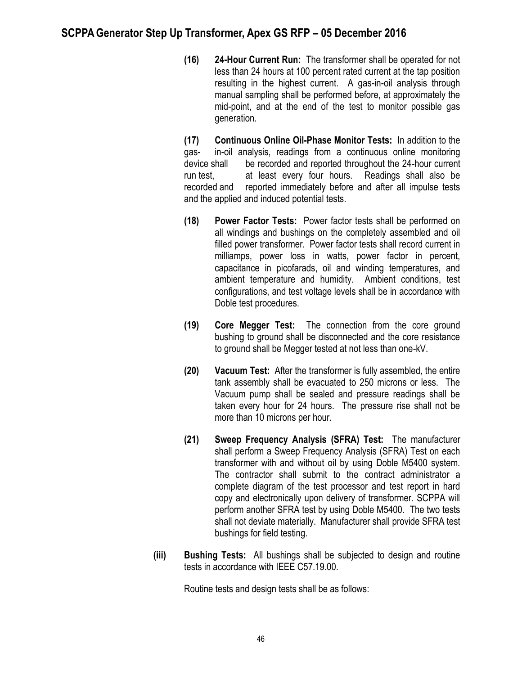**(16) 24-Hour Current Run:** The transformer shall be operated for not less than 24 hours at 100 percent rated current at the tap position resulting in the highest current. A gas-in-oil analysis through manual sampling shall be performed before, at approximately the mid-point, and at the end of the test to monitor possible gas generation.

**(17) Continuous Online Oil-Phase Monitor Tests:** In addition to the gas- in-oil analysis, readings from a continuous online monitoring device shall be recorded and reported throughout the 24-hour current run test, at least every four hours. Readings shall also be recorded and reported immediately before and after all impulse tests and the applied and induced potential tests.

- **(18) Power Factor Tests:** Power factor tests shall be performed on all windings and bushings on the completely assembled and oil filled power transformer. Power factor tests shall record current in milliamps, power loss in watts, power factor in percent, capacitance in picofarads, oil and winding temperatures, and ambient temperature and humidity. Ambient conditions, test configurations, and test voltage levels shall be in accordance with Doble test procedures.
- **(19) Core Megger Test:** The connection from the core ground bushing to ground shall be disconnected and the core resistance to ground shall be Megger tested at not less than one-kV.
- **(20) Vacuum Test:** After the transformer is fully assembled, the entire tank assembly shall be evacuated to 250 microns or less. The Vacuum pump shall be sealed and pressure readings shall be taken every hour for 24 hours. The pressure rise shall not be more than 10 microns per hour.
- **(21) Sweep Frequency Analysis (SFRA) Test:** The manufacturer shall perform a Sweep Frequency Analysis (SFRA) Test on each transformer with and without oil by using Doble M5400 system. The contractor shall submit to the contract administrator a complete diagram of the test processor and test report in hard copy and electronically upon delivery of transformer. SCPPA will perform another SFRA test by using Doble M5400. The two tests shall not deviate materially. Manufacturer shall provide SFRA test bushings for field testing.
- **(iii) Bushing Tests:** All bushings shall be subjected to design and routine tests in accordance with IEEE C57.19.00.

Routine tests and design tests shall be as follows: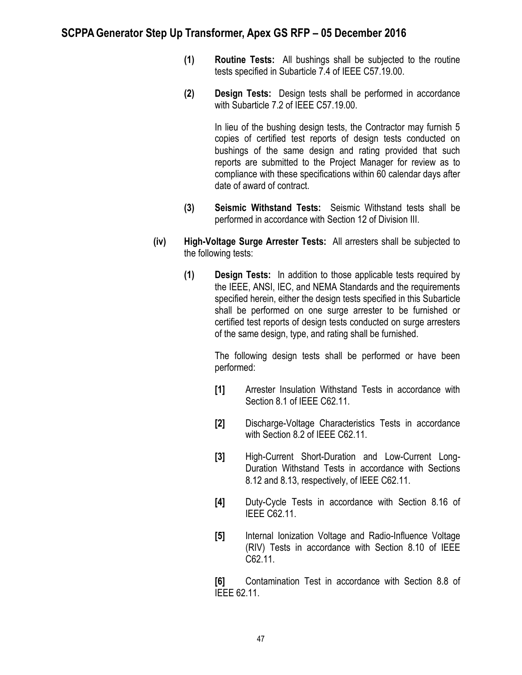- **(1) Routine Tests:** All bushings shall be subjected to the routine tests specified in Subarticle 7.4 of IEEE C57.19.00.
- **(2) Design Tests:** Design tests shall be performed in accordance with Subarticle 7.2 of IEEE C57.19.00.

In lieu of the bushing design tests, the Contractor may furnish 5 copies of certified test reports of design tests conducted on bushings of the same design and rating provided that such reports are submitted to the Project Manager for review as to compliance with these specifications within 60 calendar days after date of award of contract.

- **(3) Seismic Withstand Tests:** Seismic Withstand tests shall be performed in accordance with Section 12 of Division III.
- **(iv) High-Voltage Surge Arrester Tests:** All arresters shall be subjected to the following tests:
	- **(1) Design Tests:** In addition to those applicable tests required by the IEEE, ANSI, IEC, and NEMA Standards and the requirements specified herein, either the design tests specified in this Subarticle shall be performed on one surge arrester to be furnished or certified test reports of design tests conducted on surge arresters of the same design, type, and rating shall be furnished.

The following design tests shall be performed or have been performed:

- **[1]** Arrester Insulation Withstand Tests in accordance with Section 8.1 of IEEE C62.11.
- **[2]** Discharge-Voltage Characteristics Tests in accordance with Section 8.2 of IEEE C62.11.
- **[3]** High-Current Short-Duration and Low-Current Long-Duration Withstand Tests in accordance with Sections 8.12 and 8.13, respectively, of IEEE C62.11.
- **[4]** Duty-Cycle Tests in accordance with Section 8.16 of IEEE C62.11.
- **[5]** Internal Ionization Voltage and Radio-Influence Voltage (RIV) Tests in accordance with Section 8.10 of IEEE C62.11.

**[6]** Contamination Test in accordance with Section 8.8 of IEEE 62.11.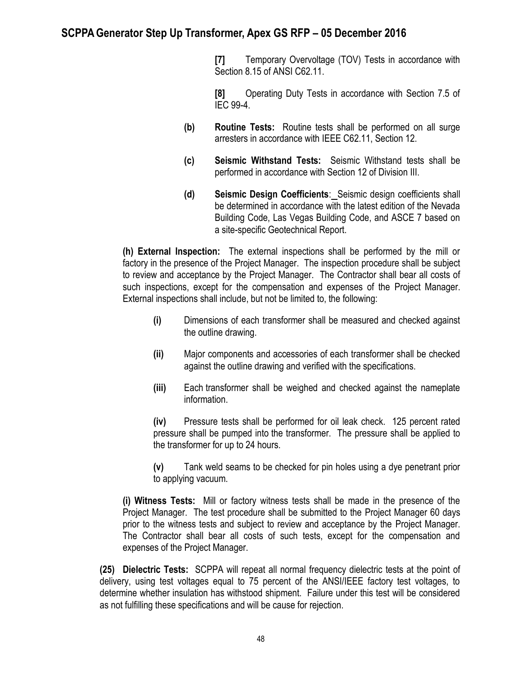**[7]** Temporary Overvoltage (TOV) Tests in accordance with Section 8.15 of ANSI C62.11.

**[8]** Operating Duty Tests in accordance with Section 7.5 of IEC 99-4.

- **(b) Routine Tests:** Routine tests shall be performed on all surge arresters in accordance with IEEE C62.11, Section 12.
- **(c) Seismic Withstand Tests:** Seismic Withstand tests shall be performed in accordance with Section 12 of Division III.
- **(d) Seismic Design Coefficients**: Seismic design coefficients shall be determined in accordance with the latest edition of the Nevada Building Code, Las Vegas Building Code, and ASCE 7 based on a site-specific Geotechnical Report.

**(h) External Inspection:** The external inspections shall be performed by the mill or factory in the presence of the Project Manager. The inspection procedure shall be subject to review and acceptance by the Project Manager. The Contractor shall bear all costs of such inspections, except for the compensation and expenses of the Project Manager. External inspections shall include, but not be limited to, the following:

- **(i)** Dimensions of each transformer shall be measured and checked against the outline drawing.
- **(ii)** Major components and accessories of each transformer shall be checked against the outline drawing and verified with the specifications.
- **(iii)** Each transformer shall be weighed and checked against the nameplate information.

**(iv)** Pressure tests shall be performed for oil leak check. 125 percent rated pressure shall be pumped into the transformer. The pressure shall be applied to the transformer for up to 24 hours.

**(v)** Tank weld seams to be checked for pin holes using a dye penetrant prior to applying vacuum.

**(i) Witness Tests:** Mill or factory witness tests shall be made in the presence of the Project Manager. The test procedure shall be submitted to the Project Manager 60 days prior to the witness tests and subject to review and acceptance by the Project Manager. The Contractor shall bear all costs of such tests, except for the compensation and expenses of the Project Manager.

**(25) Dielectric Tests:** SCPPA will repeat all normal frequency dielectric tests at the point of delivery, using test voltages equal to 75 percent of the ANSI/IEEE factory test voltages, to determine whether insulation has withstood shipment. Failure under this test will be considered as not fulfilling these specifications and will be cause for rejection.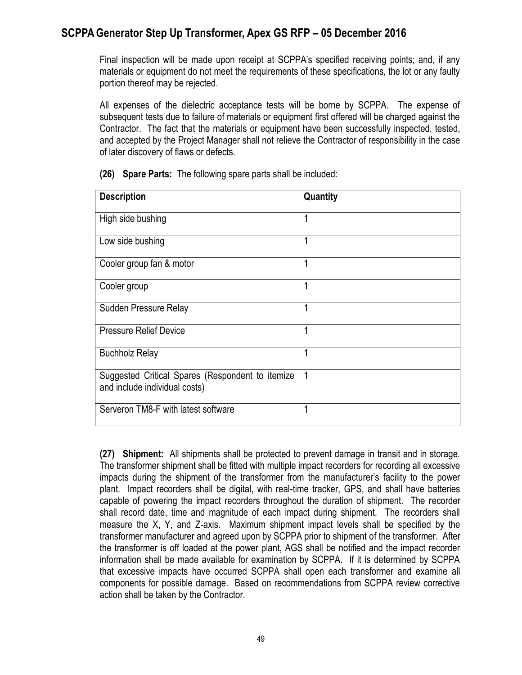Final inspection will be made upon receipt at SCPPA's specified receiving points; and, if any materials or equipment do not meet the requirements of these specifications, the lot or any faulty portion thereof may be rejected.

All expenses of the dielectric acceptance tests will be borne by SCPPA. The expense of subsequent tests due to failure of materials or equipment first offered will be charged against the Contractor. The fact that the materials or equipment have been successfully inspected, tested, and accepted by the Project Manager shall not relieve the Contractor of responsibility in the case of later discovery of flaws or defects.

| <b>Description</b>                                                                | Quantity |
|-----------------------------------------------------------------------------------|----------|
| High side bushing                                                                 |          |
| Low side bushing                                                                  | 1        |
| Cooler group fan & motor                                                          | 1        |
| Cooler group                                                                      | 1        |
| Sudden Pressure Relay                                                             | 1        |
| <b>Pressure Relief Device</b>                                                     | 1        |
| <b>Buchholz Relay</b>                                                             | 1        |
| Suggested Critical Spares (Respondent to itemize<br>and include individual costs) | 1        |
| Serveron TM8-F with latest software                                               | 1        |

**(26) Spare Parts:** The following spare parts shall be included:

**(27) Shipment:** All shipments shall be protected to prevent damage in transit and in storage. The transformer shipment shall be fitted with multiple impact recorders for recording all excessive impacts during the shipment of the transformer from the manufacturer's facility to the power plant. Impact recorders shall be digital, with real-time tracker, GPS, and shall have batteries capable of powering the impact recorders throughout the duration of shipment. The recorder shall record date, time and magnitude of each impact during shipment. The recorders shall measure the X, Y, and Z-axis. Maximum shipment impact levels shall be specified by the transformer manufacturer and agreed upon by SCPPA prior to shipment of the transformer. After the transformer is off loaded at the power plant, AGS shall be notified and the impact recorder information shall be made available for examination by SCPPA. If it is determined by SCPPA that excessive impacts have occurred SCPPA shall open each transformer and examine all components for possible damage. Based on recommendations from SCPPA review corrective action shall be taken by the Contractor.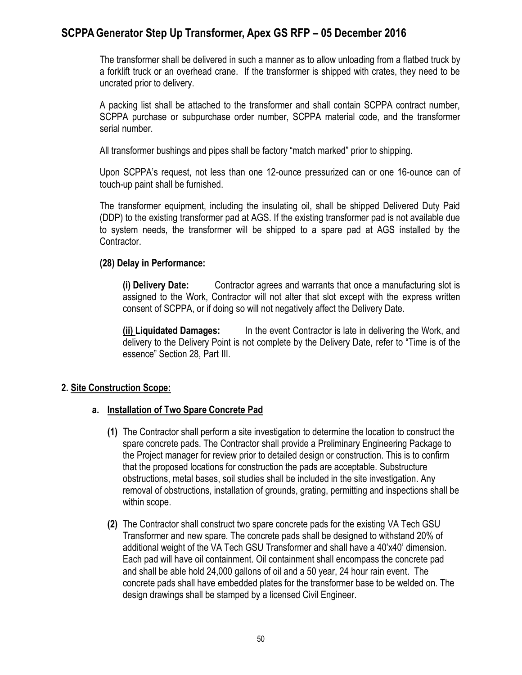The transformer shall be delivered in such a manner as to allow unloading from a flatbed truck by a forklift truck or an overhead crane. If the transformer is shipped with crates, they need to be uncrated prior to delivery.

A packing list shall be attached to the transformer and shall contain SCPPA contract number, SCPPA purchase or subpurchase order number, SCPPA material code, and the transformer serial number.

All transformer bushings and pipes shall be factory "match marked" prior to shipping.

Upon SCPPA's request, not less than one 12-ounce pressurized can or one 16-ounce can of touch-up paint shall be furnished.

The transformer equipment, including the insulating oil, shall be shipped Delivered Duty Paid (DDP) to the existing transformer pad at AGS. If the existing transformer pad is not available due to system needs, the transformer will be shipped to a spare pad at AGS installed by the Contractor.

#### **(28) Delay in Performance:**

**(i) Delivery Date:** Contractor agrees and warrants that once a manufacturing slot is assigned to the Work, Contractor will not alter that slot except with the express written consent of SCPPA, or if doing so will not negatively affect the Delivery Date.

**(ii) Liquidated Damages:** In the event Contractor is late in delivering the Work, and delivery to the Delivery Point is not complete by the Delivery Date, refer to "Time is of the essence" Section 28, Part III.

### **2. Site Construction Scope:**

### **a. Installation of Two Spare Concrete Pad**

- **(1)** The Contractor shall perform a site investigation to determine the location to construct the spare concrete pads. The Contractor shall provide a Preliminary Engineering Package to the Project manager for review prior to detailed design or construction. This is to confirm that the proposed locations for construction the pads are acceptable. Substructure obstructions, metal bases, soil studies shall be included in the site investigation. Any removal of obstructions, installation of grounds, grating, permitting and inspections shall be within scope.
- **(2)** The Contractor shall construct two spare concrete pads for the existing VA Tech GSU Transformer and new spare. The concrete pads shall be designed to withstand 20% of additional weight of the VA Tech GSU Transformer and shall have a 40'x40' dimension. Each pad will have oil containment. Oil containment shall encompass the concrete pad and shall be able hold 24,000 gallons of oil and a 50 year, 24 hour rain event. The concrete pads shall have embedded plates for the transformer base to be welded on. The design drawings shall be stamped by a licensed Civil Engineer.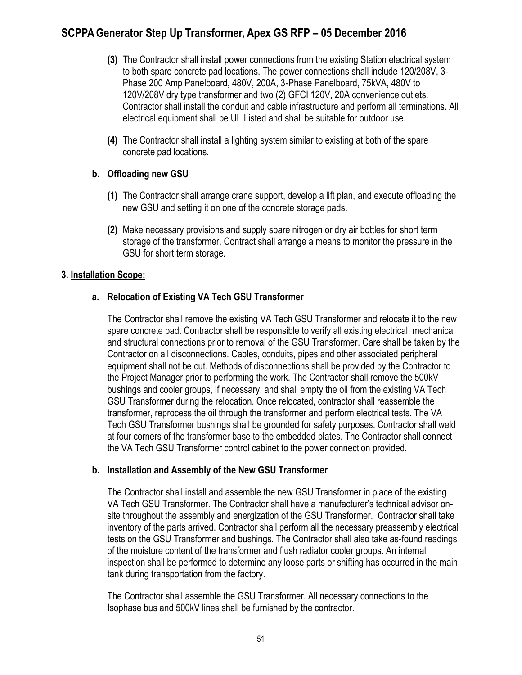- **(3)** The Contractor shall install power connections from the existing Station electrical system to both spare concrete pad locations. The power connections shall include 120/208V, 3- Phase 200 Amp Panelboard, 480V, 200A, 3-Phase Panelboard, 75kVA, 480V to 120V/208V dry type transformer and two (2) GFCI 120V, 20A convenience outlets. Contractor shall install the conduit and cable infrastructure and perform all terminations. All electrical equipment shall be UL Listed and shall be suitable for outdoor use.
- **(4)** The Contractor shall install a lighting system similar to existing at both of the spare concrete pad locations.

### **b. Offloading new GSU**

- **(1)** The Contractor shall arrange crane support, develop a lift plan, and execute offloading the new GSU and setting it on one of the concrete storage pads.
- **(2)** Make necessary provisions and supply spare nitrogen or dry air bottles for short term storage of the transformer. Contract shall arrange a means to monitor the pressure in the GSU for short term storage.

#### **3. Installation Scope:**

### **a. Relocation of Existing VA Tech GSU Transformer**

The Contractor shall remove the existing VA Tech GSU Transformer and relocate it to the new spare concrete pad. Contractor shall be responsible to verify all existing electrical, mechanical and structural connections prior to removal of the GSU Transformer. Care shall be taken by the Contractor on all disconnections. Cables, conduits, pipes and other associated peripheral equipment shall not be cut. Methods of disconnections shall be provided by the Contractor to the Project Manager prior to performing the work. The Contractor shall remove the 500kV bushings and cooler groups, if necessary, and shall empty the oil from the existing VA Tech GSU Transformer during the relocation. Once relocated, contractor shall reassemble the transformer, reprocess the oil through the transformer and perform electrical tests. The VA Tech GSU Transformer bushings shall be grounded for safety purposes. Contractor shall weld at four corners of the transformer base to the embedded plates. The Contractor shall connect the VA Tech GSU Transformer control cabinet to the power connection provided.

#### **b. Installation and Assembly of the New GSU Transformer**

The Contractor shall install and assemble the new GSU Transformer in place of the existing VA Tech GSU Transformer. The Contractor shall have a manufacturer's technical advisor onsite throughout the assembly and energization of the GSU Transformer. Contractor shall take inventory of the parts arrived. Contractor shall perform all the necessary preassembly electrical tests on the GSU Transformer and bushings. The Contractor shall also take as-found readings of the moisture content of the transformer and flush radiator cooler groups. An internal inspection shall be performed to determine any loose parts or shifting has occurred in the main tank during transportation from the factory.

The Contractor shall assemble the GSU Transformer. All necessary connections to the Isophase bus and 500kV lines shall be furnished by the contractor.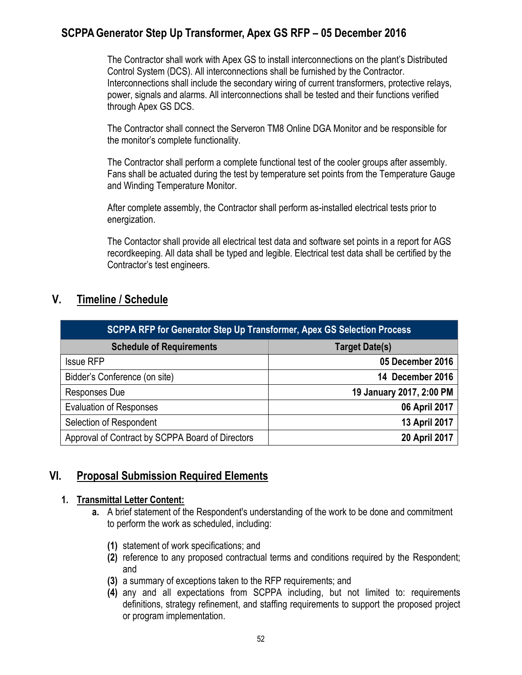The Contractor shall work with Apex GS to install interconnections on the plant's Distributed Control System (DCS). All interconnections shall be furnished by the Contractor. Interconnections shall include the secondary wiring of current transformers, protective relays, power, signals and alarms. All interconnections shall be tested and their functions verified through Apex GS DCS.

The Contractor shall connect the Serveron TM8 Online DGA Monitor and be responsible for the monitor's complete functionality.

The Contractor shall perform a complete functional test of the cooler groups after assembly. Fans shall be actuated during the test by temperature set points from the Temperature Gauge and Winding Temperature Monitor.

After complete assembly, the Contractor shall perform as-installed electrical tests prior to energization.

The Contactor shall provide all electrical test data and software set points in a report for AGS recordkeeping. All data shall be typed and legible. Electrical test data shall be certified by the Contractor's test engineers.

## **V. Timeline / Schedule**

| <b>SCPPA RFP for Generator Step Up Transformer, Apex GS Selection Process</b> |                          |  |  |
|-------------------------------------------------------------------------------|--------------------------|--|--|
| <b>Schedule of Requirements</b>                                               | Target Date(s)           |  |  |
| <b>Issue RFP</b>                                                              | 05 December 2016         |  |  |
| Bidder's Conference (on site)                                                 | 14 December 2016         |  |  |
| <b>Responses Due</b>                                                          | 19 January 2017, 2:00 PM |  |  |
| <b>Evaluation of Responses</b>                                                | 06 April 2017            |  |  |
| Selection of Respondent                                                       | 13 April 2017            |  |  |
| Approval of Contract by SCPPA Board of Directors                              | 20 April 2017            |  |  |

## **VI. Proposal Submission Required Elements**

### **1. Transmittal Letter Content:**

- **a.** A brief statement of the Respondent's understanding of the work to be done and commitment to perform the work as scheduled, including:
	- **(1)** statement of work specifications; and
	- **(2)** reference to any proposed contractual terms and conditions required by the Respondent; and
	- **(3)** a summary of exceptions taken to the RFP requirements; and
	- **(4)** any and all expectations from SCPPA including, but not limited to: requirements definitions, strategy refinement, and staffing requirements to support the proposed project or program implementation.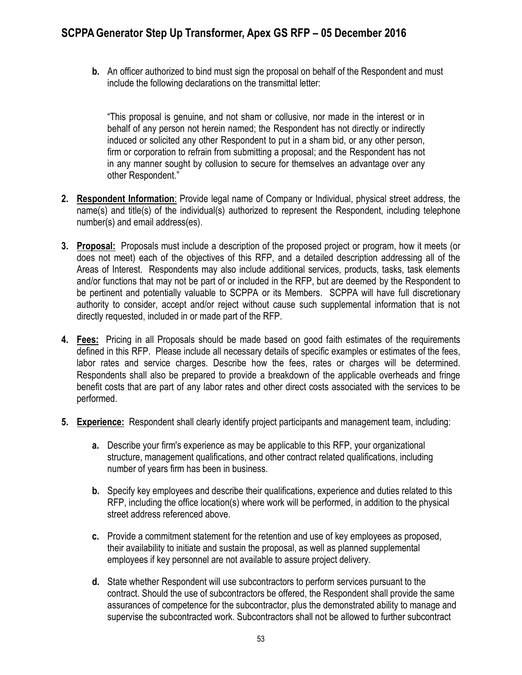**b.** An officer authorized to bind must sign the proposal on behalf of the Respondent and must include the following declarations on the transmittal letter:

"This proposal is genuine, and not sham or collusive, nor made in the interest or in behalf of any person not herein named; the Respondent has not directly or indirectly induced or solicited any other Respondent to put in a sham bid, or any other person, firm or corporation to refrain from submitting a proposal; and the Respondent has not in any manner sought by collusion to secure for themselves an advantage over any other Respondent."

- **2. Respondent Information**: Provide legal name of Company or Individual, physical street address, the name(s) and title(s) of the individual(s) authorized to represent the Respondent, including telephone number(s) and email address(es).
- **3. Proposal:** Proposals must include a description of the proposed project or program, how it meets (or does not meet) each of the objectives of this RFP, and a detailed description addressing all of the Areas of Interest. Respondents may also include additional services, products, tasks, task elements and/or functions that may not be part of or included in the RFP, but are deemed by the Respondent to be pertinent and potentially valuable to SCPPA or its Members. SCPPA will have full discretionary authority to consider, accept and/or reject without cause such supplemental information that is not directly requested, included in or made part of the RFP.
- **4. Fees:** Pricing in all Proposals should be made based on good faith estimates of the requirements defined in this RFP. Please include all necessary details of specific examples or estimates of the fees, labor rates and service charges. Describe how the fees, rates or charges will be determined. Respondents shall also be prepared to provide a breakdown of the applicable overheads and fringe benefit costs that are part of any labor rates and other direct costs associated with the services to be performed.
- **5. Experience:** Respondent shall clearly identify project participants and management team, including:
	- **a.** Describe your firm's experience as may be applicable to this RFP, your organizational structure, management qualifications, and other contract related qualifications, including number of years firm has been in business.
	- **b.** Specify key employees and describe their qualifications, experience and duties related to this RFP, including the office location(s) where work will be performed, in addition to the physical street address referenced above.
	- **c.** Provide a commitment statement for the retention and use of key employees as proposed, their availability to initiate and sustain the proposal, as well as planned supplemental employees if key personnel are not available to assure project delivery.
	- **d.** State whether Respondent will use subcontractors to perform services pursuant to the contract. Should the use of subcontractors be offered, the Respondent shall provide the same assurances of competence for the subcontractor, plus the demonstrated ability to manage and supervise the subcontracted work. Subcontractors shall not be allowed to further subcontract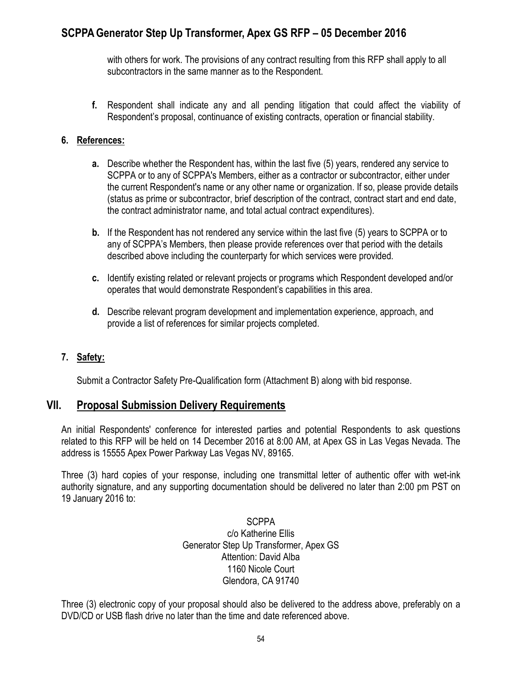with others for work. The provisions of any contract resulting from this RFP shall apply to all subcontractors in the same manner as to the Respondent.

**f.** Respondent shall indicate any and all pending litigation that could affect the viability of Respondent's proposal, continuance of existing contracts, operation or financial stability.

#### **6. References:**

- **a.** Describe whether the Respondent has, within the last five (5) years, rendered any service to SCPPA or to any of SCPPA's Members, either as a contractor or subcontractor, either under the current Respondent's name or any other name or organization. If so, please provide details (status as prime or subcontractor, brief description of the contract, contract start and end date, the contract administrator name, and total actual contract expenditures).
- **b.** If the Respondent has not rendered any service within the last five (5) years to SCPPA or to any of SCPPA's Members, then please provide references over that period with the details described above including the counterparty for which services were provided.
- **c.** Identify existing related or relevant projects or programs which Respondent developed and/or operates that would demonstrate Respondent's capabilities in this area.
- **d.** Describe relevant program development and implementation experience, approach, and provide a list of references for similar projects completed.

### **7. Safety:**

Submit a Contractor Safety Pre-Qualification form (Attachment B) along with bid response.

### **VII. Proposal Submission Delivery Requirements**

An initial Respondents' conference for interested parties and potential Respondents to ask questions related to this RFP will be held on 14 December 2016 at 8:00 AM, at Apex GS in Las Vegas Nevada. The address is 15555 Apex Power Parkway Las Vegas NV, 89165.

Three (3) hard copies of your response, including one transmittal letter of authentic offer with wet-ink authority signature, and any supporting documentation should be delivered no later than 2:00 pm PST on 19 January 2016 to:

> **SCPPA** c/o Katherine Ellis Generator Step Up Transformer, Apex GS Attention: David Alba 1160 Nicole Court Glendora, CA 91740

Three (3) electronic copy of your proposal should also be delivered to the address above, preferably on a DVD/CD or USB flash drive no later than the time and date referenced above.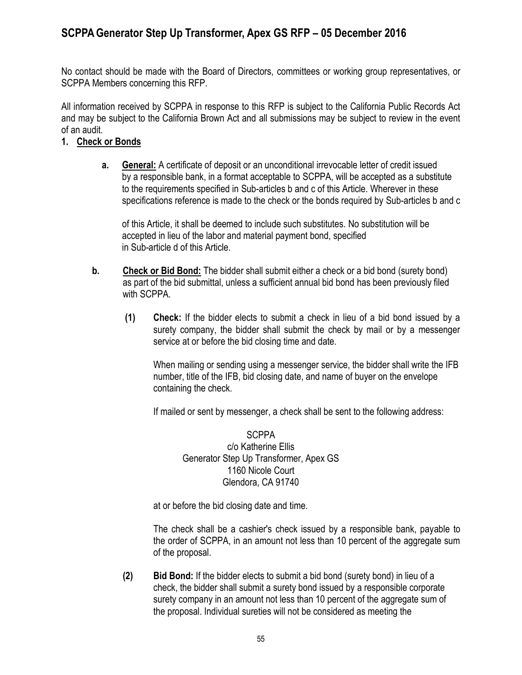No contact should be made with the Board of Directors, committees or working group representatives, or SCPPA Members concerning this RFP.

All information received by SCPPA in response to this RFP is subject to the California Public Records Act and may be subject to the California Brown Act and all submissions may be subject to review in the event of an audit.

#### **1. Check or Bonds**

 **a. General:** A certificate of deposit or an unconditional irrevocable letter of credit issued by a responsible bank, in a format acceptable to SCPPA, will be accepted as a substitute to the requirements specified in Sub-articles b and c of this Article. Wherever in these specifications reference is made to the check or the bonds required by Sub-articles b and c

of this Article, it shall be deemed to include such substitutes. No substitution will be accepted in lieu of the labor and material payment bond, specified in Sub-article d of this Article.

- **b. Check or Bid Bond:** The bidder shall submit either a check or a bid bond (surety bond) as part of the bid submittal, unless a sufficient annual bid bond has been previously filed with SCPPA.
	- **(1) Check:** If the bidder elects to submit a check in lieu of a bid bond issued by a surety company, the bidder shall submit the check by mail or by a messenger service at or before the bid closing time and date.

When mailing or sending using a messenger service, the bidder shall write the IFB number, title of the IFB, bid closing date, and name of buyer on the envelope containing the check.

If mailed or sent by messenger, a check shall be sent to the following address:

**SCPPA** c/o Katherine Ellis Generator Step Up Transformer, Apex GS 1160 Nicole Court Glendora, CA 91740

at or before the bid closing date and time.

The check shall be a cashier's check issued by a responsible bank, payable to the order of SCPPA, in an amount not less than 10 percent of the aggregate sum of the proposal.

 **(2) Bid Bond:** If the bidder elects to submit a bid bond (surety bond) in lieu of a check, the bidder shall submit a surety bond issued by a responsible corporate surety company in an amount not less than 10 percent of the aggregate sum of the proposal. Individual sureties will not be considered as meeting the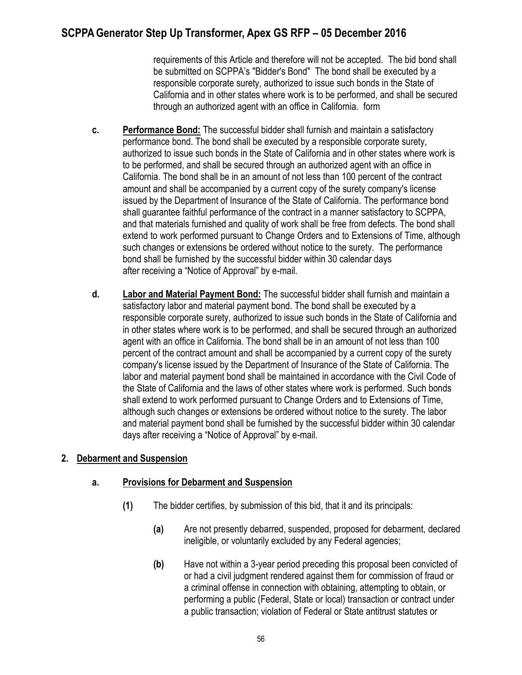requirements of this Article and therefore will not be accepted. The bid bond shall be submitted on SCPPA's "Bidder's Bond" The bond shall be executed by a responsible corporate surety, authorized to issue such bonds in the State of California and in other states where work is to be performed, and shall be secured through an authorized agent with an office in California. form

- **c. Performance Bond:** The successful bidder shall furnish and maintain a satisfactory performance bond. The bond shall be executed by a responsible corporate surety, authorized to issue such bonds in the State of California and in other states where work is to be performed, and shall be secured through an authorized agent with an office in California. The bond shall be in an amount of not less than 100 percent of the contract amount and shall be accompanied by a current copy of the surety company's license issued by the Department of Insurance of the State of California. The performance bond shall guarantee faithful performance of the contract in a manner satisfactory to SCPPA, and that materials furnished and quality of work shall be free from defects. The bond shall extend to work performed pursuant to Change Orders and to Extensions of Time, although such changes or extensions be ordered without notice to the surety. The performance bond shall be furnished by the successful bidder within 30 calendar days after receiving a "Notice of Approval" by e-mail.
- **d. Labor and Material Payment Bond:** The successful bidder shall furnish and maintain a satisfactory labor and material payment bond. The bond shall be executed by a responsible corporate surety, authorized to issue such bonds in the State of California and in other states where work is to be performed, and shall be secured through an authorized agent with an office in California. The bond shall be in an amount of not less than 100 percent of the contract amount and shall be accompanied by a current copy of the surety company's license issued by the Department of Insurance of the State of California. The labor and material payment bond shall be maintained in accordance with the Civil Code of the State of California and the laws of other states where work is performed. Such bonds shall extend to work performed pursuant to Change Orders and to Extensions of Time, although such changes or extensions be ordered without notice to the surety. The labor and material payment bond shall be furnished by the successful bidder within 30 calendar days after receiving a "Notice of Approval" by e-mail.

### **2. Debarment and Suspension**

### **a. Provisions for Debarment and Suspension**

- **(1)** The bidder certifies, by submission of this bid, that it and its principals:
	- **(a)** Are not presently debarred, suspended, proposed for debarment, declared ineligible, or voluntarily excluded by any Federal agencies;
	- **(b)** Have not within a 3-year period preceding this proposal been convicted of or had a civil judgment rendered against them for commission of fraud or a criminal offense in connection with obtaining, attempting to obtain, or performing a public (Federal, State or local) transaction or contract under a public transaction; violation of Federal or State antitrust statutes or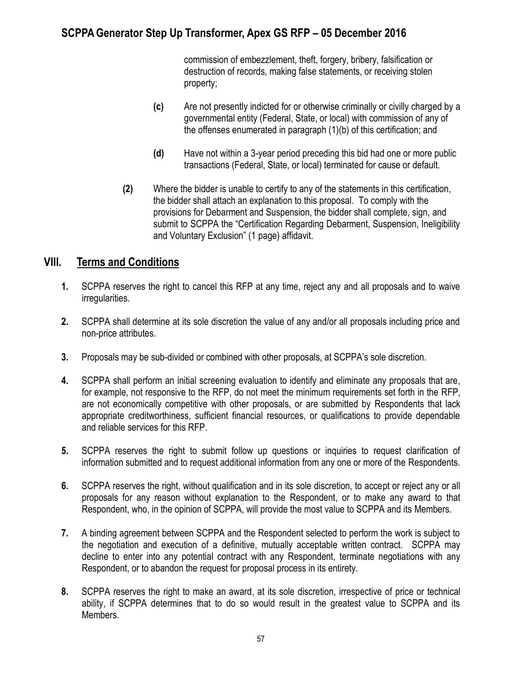commission of embezzlement, theft, forgery, bribery, falsification or destruction of records, making false statements, or receiving stolen property;

- **(c)** Are not presently indicted for or otherwise criminally or civilly charged by a governmental entity (Federal, State, or local) with commission of any of the offenses enumerated in paragraph (1)(b) of this certification; and
- **(d)** Have not within a 3-year period preceding this bid had one or more public transactions (Federal, State, or local) terminated for cause or default.
- **(2)** Where the bidder is unable to certify to any of the statements in this certification, the bidder shall attach an explanation to this proposal. To comply with the provisions for Debarment and Suspension, the bidder shall complete, sign, and submit to SCPPA the "Certification Regarding Debarment, Suspension, Ineligibility and Voluntary Exclusion" (1 page) affidavit.

### **VIII. Terms and Conditions**

- **1.** SCPPA reserves the right to cancel this RFP at any time, reject any and all proposals and to waive irregularities.
- **2.** SCPPA shall determine at its sole discretion the value of any and/or all proposals including price and non-price attributes.
- **3.** Proposals may be sub-divided or combined with other proposals, at SCPPA's sole discretion.
- **4.** SCPPA shall perform an initial screening evaluation to identify and eliminate any proposals that are, for example, not responsive to the RFP, do not meet the minimum requirements set forth in the RFP, are not economically competitive with other proposals, or are submitted by Respondents that lack appropriate creditworthiness, sufficient financial resources, or qualifications to provide dependable and reliable services for this RFP.
- **5.** SCPPA reserves the right to submit follow up questions or inquiries to request clarification of information submitted and to request additional information from any one or more of the Respondents.
- **6.** SCPPA reserves the right, without qualification and in its sole discretion, to accept or reject any or all proposals for any reason without explanation to the Respondent, or to make any award to that Respondent, who, in the opinion of SCPPA, will provide the most value to SCPPA and its Members.
- **7.** A binding agreement between SCPPA and the Respondent selected to perform the work is subject to the negotiation and execution of a definitive, mutually acceptable written contract. SCPPA may decline to enter into any potential contract with any Respondent, terminate negotiations with any Respondent, or to abandon the request for proposal process in its entirety.
- **8.** SCPPA reserves the right to make an award, at its sole discretion, irrespective of price or technical ability, if SCPPA determines that to do so would result in the greatest value to SCPPA and its Members.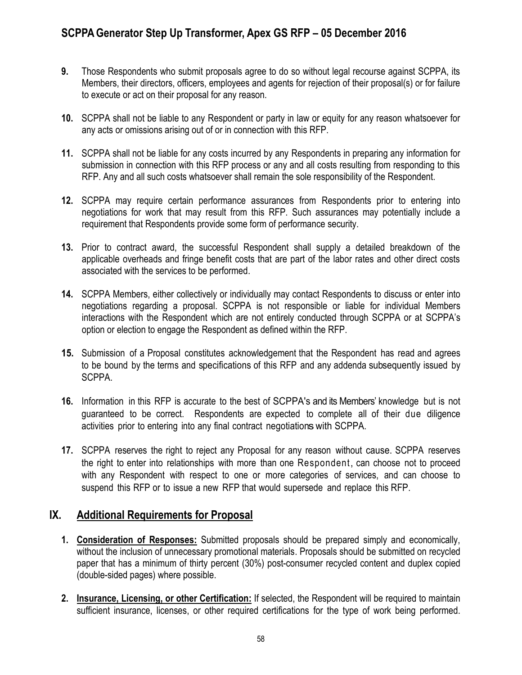- **9.** Those Respondents who submit proposals agree to do so without legal recourse against SCPPA, its Members, their directors, officers, employees and agents for rejection of their proposal(s) or for failure to execute or act on their proposal for any reason.
- **10.** SCPPA shall not be liable to any Respondent or party in law or equity for any reason whatsoever for any acts or omissions arising out of or in connection with this RFP.
- **11.** SCPPA shall not be liable for any costs incurred by any Respondents in preparing any information for submission in connection with this RFP process or any and all costs resulting from responding to this RFP. Any and all such costs whatsoever shall remain the sole responsibility of the Respondent.
- **12.** SCPPA may require certain performance assurances from Respondents prior to entering into negotiations for work that may result from this RFP. Such assurances may potentially include a requirement that Respondents provide some form of performance security.
- **13.** Prior to contract award, the successful Respondent shall supply a detailed breakdown of the applicable overheads and fringe benefit costs that are part of the labor rates and other direct costs associated with the services to be performed.
- **14.** SCPPA Members, either collectively or individually may contact Respondents to discuss or enter into negotiations regarding a proposal. SCPPA is not responsible or liable for individual Members interactions with the Respondent which are not entirely conducted through SCPPA or at SCPPA's option or election to engage the Respondent as defined within the RFP.
- **15.** Submission of a Proposal constitutes acknowledgement that the Respondent has read and agrees to be bound by the terms and specifications of this RFP and any addenda subsequently issued by SCPPA.
- **16.** Information in this RFP is accurate to the best of SCPPA's and its Members' knowledge but is not guaranteed to be correct. Respondents are expected to complete all of their due diligence activities prior to entering into any final contract negotiations with SCPPA.
- **17.** SCPPA reserves the right to reject any Proposal for any reason without cause. SCPPA reserves the right to enter into relationships with more than one Respondent, can choose not to proceed with any Respondent with respect to one or more categories of services, and can choose to suspend this RFP or to issue a new RFP that would supersede and replace this RFP.

### **IX. Additional Requirements for Proposal**

- **1. Consideration of Responses:** Submitted proposals should be prepared simply and economically, without the inclusion of unnecessary promotional materials. Proposals should be submitted on recycled paper that has a minimum of thirty percent (30%) post-consumer recycled content and duplex copied (double-sided pages) where possible.
- **2. Insurance, Licensing, or other Certification:** If selected, the Respondent will be required to maintain sufficient insurance, licenses, or other required certifications for the type of work being performed.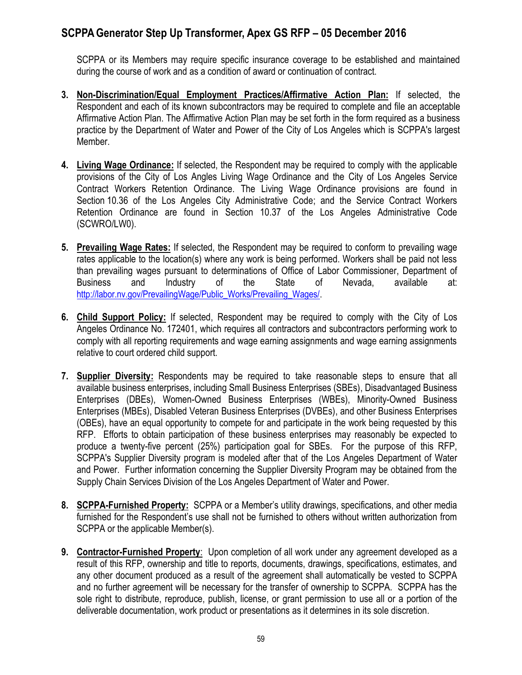SCPPA or its Members may require specific insurance coverage to be established and maintained during the course of work and as a condition of award or continuation of contract.

- **3. Non-Discrimination/Equal Employment Practices/Affirmative Action Plan:** If selected, the Respondent and each of its known subcontractors may be required to complete and file an acceptable Affirmative Action Plan. The Affirmative Action Plan may be set forth in the form required as a business practice by the Department of Water and Power of the City of Los Angeles which is SCPPA's largest Member.
- **4. Living Wage Ordinance:** If selected, the Respondent may be required to comply with the applicable provisions of the City of Los Angles Living Wage Ordinance and the City of Los Angeles Service Contract Workers Retention Ordinance. The Living Wage Ordinance provisions are found in Section 10.36 of the Los Angeles City Administrative Code; and the Service Contract Workers Retention Ordinance are found in Section 10.37 of the Los Angeles Administrative Code (SCWRO/LW0).
- **5. Prevailing Wage Rates:** If selected, the Respondent may be required to conform to prevailing wage rates applicable to the location(s) where any work is being performed. Workers shall be paid not less than prevailing wages pursuant to determinations of Office of Labor Commissioner, Department of Business and Industry of the State of Nevada, available at: [http://labor.nv.gov/PrevailingWage/Public\\_Works/Prevailing\\_Wages/.](http://labor.nv.gov/PrevailingWage/Public_Works/Prevailing_Wages/)
- **6. Child Support Policy:** If selected, Respondent may be required to comply with the City of Los Angeles Ordinance No. 172401, which requires all contractors and subcontractors performing work to comply with all reporting requirements and wage earning assignments and wage earning assignments relative to court ordered child support.
- **7. Supplier Diversity:** Respondents may be required to take reasonable steps to ensure that all available business enterprises, including Small Business Enterprises (SBEs), Disadvantaged Business Enterprises (DBEs), Women-Owned Business Enterprises (WBEs), Minority-Owned Business Enterprises (MBEs), Disabled Veteran Business Enterprises (DVBEs), and other Business Enterprises (OBEs), have an equal opportunity to compete for and participate in the work being requested by this RFP. Efforts to obtain participation of these business enterprises may reasonably be expected to produce a twenty-five percent (25%) participation goal for SBEs. For the purpose of this RFP, SCPPA's Supplier Diversity program is modeled after that of the Los Angeles Department of Water and Power. Further information concerning the Supplier Diversity Program may be obtained from the Supply Chain Services Division of the Los Angeles Department of Water and Power.
- **8. SCPPA-Furnished Property:** SCPPA or a Member's utility drawings, specifications, and other media furnished for the Respondent's use shall not be furnished to others without written authorization from SCPPA or the applicable Member(s).
- **9. Contractor-Furnished Property**: Upon completion of all work under any agreement developed as a result of this RFP, ownership and title to reports, documents, drawings, specifications, estimates, and any other document produced as a result of the agreement shall automatically be vested to SCPPA and no further agreement will be necessary for the transfer of ownership to SCPPA. SCPPA has the sole right to distribute, reproduce, publish, license, or grant permission to use all or a portion of the deliverable documentation, work product or presentations as it determines in its sole discretion.